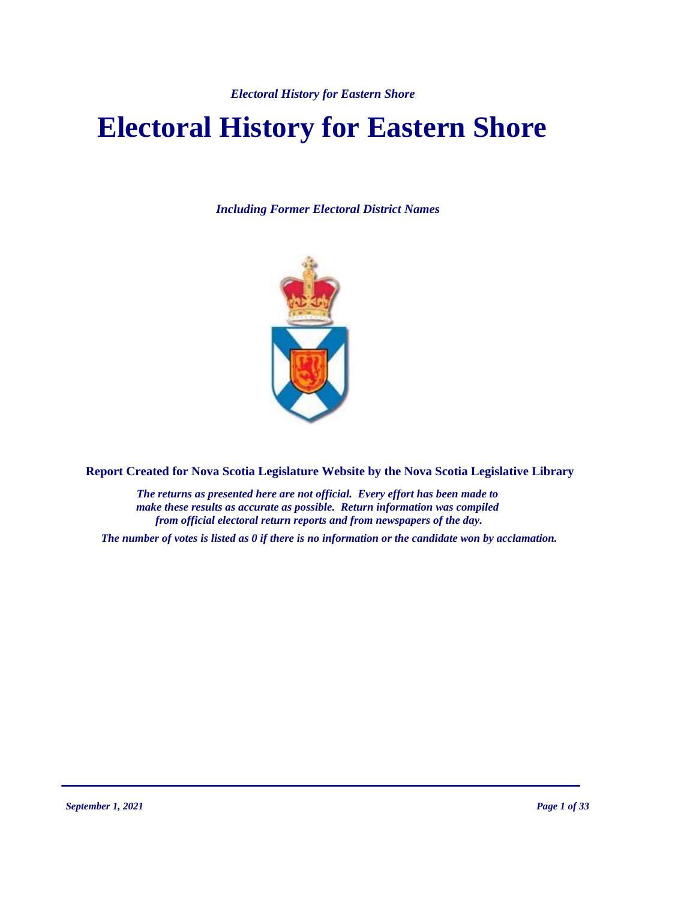# **Electoral History for Eastern Shore**

*Including Former Electoral District Names*



**Report Created for Nova Scotia Legislature Website by the Nova Scotia Legislative Library**

*The returns as presented here are not official. Every effort has been made to make these results as accurate as possible. Return information was compiled from official electoral return reports and from newspapers of the day.*

*The number of votes is listed as 0 if there is no information or the candidate won by acclamation.*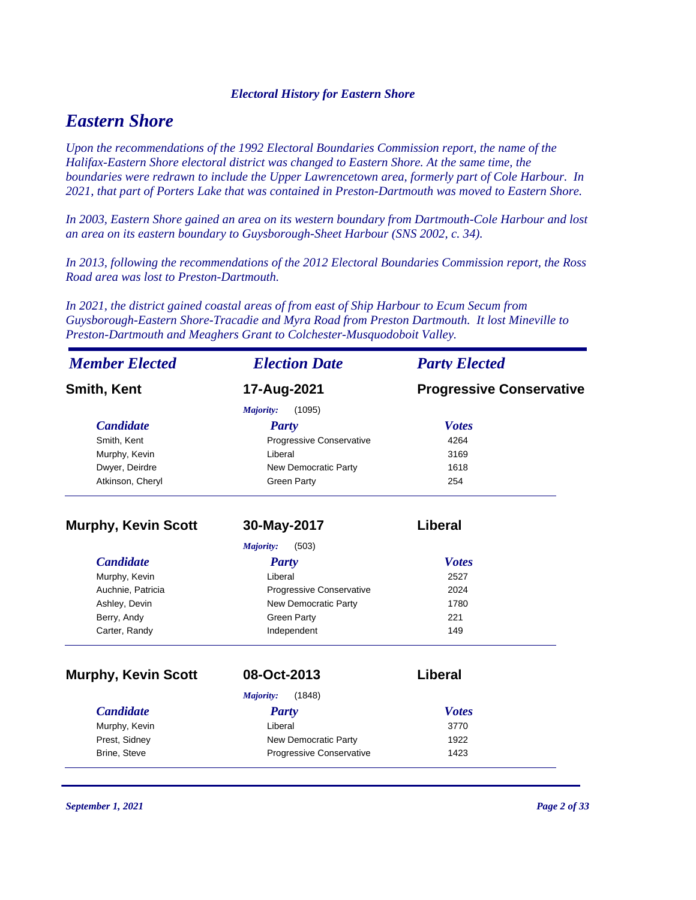# *Eastern Shore*

*Upon the recommendations of the 1992 Electoral Boundaries Commission report, the name of the Halifax-Eastern Shore electoral district was changed to Eastern Shore. At the same time, the boundaries were redrawn to include the Upper Lawrencetown area, formerly part of Cole Harbour. In 2021, that part of Porters Lake that was contained in Preston-Dartmouth was moved to Eastern Shore.*

*In 2003, Eastern Shore gained an area on its western boundary from Dartmouth-Cole Harbour and lost an area on its eastern boundary to Guysborough-Sheet Harbour (SNS 2002, c. 34).*

*In 2013, following the recommendations of the 2012 Electoral Boundaries Commission report, the Ross Road area was lost to Preston-Dartmouth.*

*In 2021, the district gained coastal areas of from east of Ship Harbour to Ecum Secum from Guysborough-Eastern Shore-Tracadie and Myra Road from Preston Dartmouth. It lost Mineville to Preston-Dartmouth and Meaghers Grant to Colchester-Musquodoboit Valley.*

| <b>Member Elected</b>      | <b>Election Date</b>        | <b>Party Elected</b>            |
|----------------------------|-----------------------------|---------------------------------|
| <b>Smith, Kent</b>         | 17-Aug-2021                 | <b>Progressive Conservative</b> |
|                            | Majority:<br>(1095)         |                                 |
| <b>Candidate</b>           | <b>Party</b>                | <b>Votes</b>                    |
| Smith, Kent                | Progressive Conservative    | 4264                            |
| Murphy, Kevin              | Liberal                     | 3169                            |
| Dwyer, Deirdre             | <b>New Democratic Party</b> | 1618                            |
| Atkinson, Cheryl           | <b>Green Party</b>          | 254                             |
| <b>Murphy, Kevin Scott</b> | 30-May-2017                 | <b>Liberal</b>                  |
|                            | (503)<br>Majority:          |                                 |
| <b>Candidate</b>           | <b>Party</b>                | <b>Votes</b>                    |
| Murphy, Kevin              | Liberal                     | 2527                            |
| Auchnie, Patricia          | Progressive Conservative    | 2024                            |
| Ashley, Devin              | New Democratic Party        | 1780                            |
| Berry, Andy                | <b>Green Party</b>          | 221                             |
| Carter, Randy              | Independent                 | 149                             |
| <b>Murphy, Kevin Scott</b> | 08-Oct-2013                 | <b>Liberal</b>                  |
|                            | (1848)<br>Majority:         |                                 |
| <b>Candidate</b>           | <b>Party</b>                | <b>Votes</b>                    |
| Murphy, Kevin              | Liberal                     | 3770                            |
| Prest, Sidney              | New Democratic Party        | 1922                            |
| Brine, Steve               | Progressive Conservative    | 1423                            |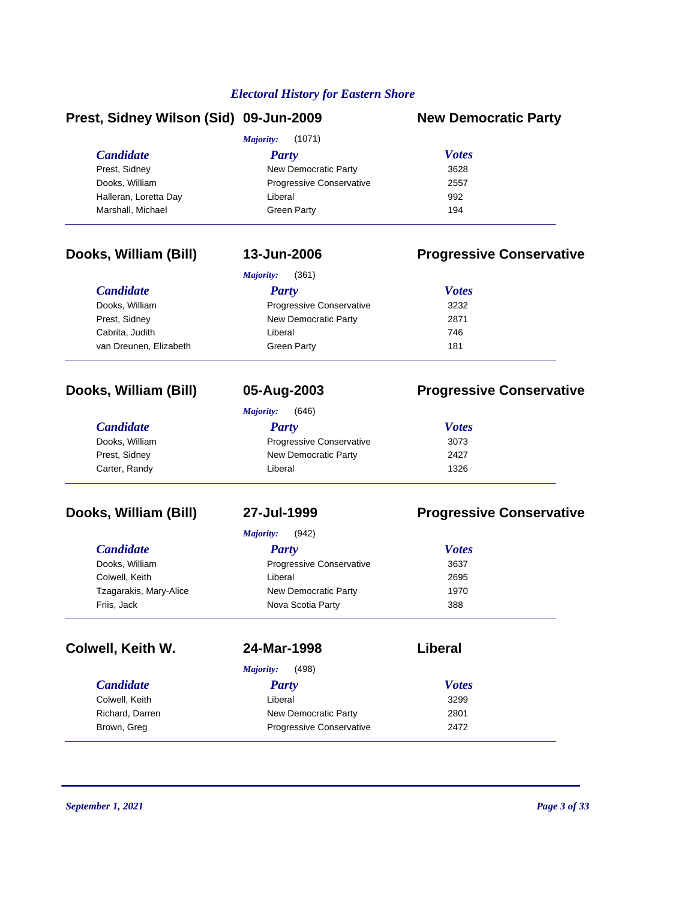# **Prest, Sidney Wilson (Sid) 09-Jun-2009 New Democratic Party**

| <i>Candidate</i>      | Party                           | <b>Votes</b> |
|-----------------------|---------------------------------|--------------|
| Prest, Sidney         | New Democratic Party            | 3628         |
| Dooks, William        | <b>Progressive Conservative</b> | 2557         |
| Halleran, Loretta Day | Liberal                         | 992          |
| Marshall, Michael     | Green Party                     | 194          |

# **Dooks, William (Bill) 13-Jun-2006 Progressive Conservative**

| (361)<br>Majority:     |                                 |              |  |  |
|------------------------|---------------------------------|--------------|--|--|
| <b>Candidate</b>       | Party                           | <b>Votes</b> |  |  |
| Dooks, William         | <b>Progressive Conservative</b> | 3232         |  |  |
| Prest, Sidney          | New Democratic Party            | 2871         |  |  |
| Cabrita, Judith        | Liberal                         | 746          |  |  |
| van Dreunen, Elizabeth | Green Party                     | 181          |  |  |

# **Dooks, William (Bill) 05-Aug-2003 Progressive Conservative**

# *Candidate Party Votes Majority:* (646) Dooks, William **Progressive Conservative** 3073 Prest, Sidney **New Democratic Party** 2427 Carter, Randy **Carter, Randy Carter, Randy Carter, Randy** 1326

# **Dooks, William (Bill) 27-Jul-1999 Progressive Conservative**

| <b>Candidate</b>       | <b>Party</b>             | <b>Votes</b> |
|------------------------|--------------------------|--------------|
| Dooks, William         | Progressive Conservative | 3637         |
| Colwell, Keith         | Liberal                  | 2695         |
| Tzagarakis, Mary-Alice | New Democratic Party     | 1970         |
| Friis, Jack            | Nova Scotia Party        | 388          |

# **Colwell, Keith W. 24-Mar-1998 Liberal**

| <b>Candidate</b> |  |
|------------------|--|
| Colwell. Keith   |  |
| Richard. Darren  |  |
| Brown, Greg      |  |

| <b>Candidate</b> | Party                           | <b>Votes</b> |  |
|------------------|---------------------------------|--------------|--|
| Colwell, Keith   | Liberal                         | 3299         |  |
| Richard, Darren  | New Democratic Party            | 2801         |  |
| Brown, Greg      | <b>Progressive Conservative</b> | 2472         |  |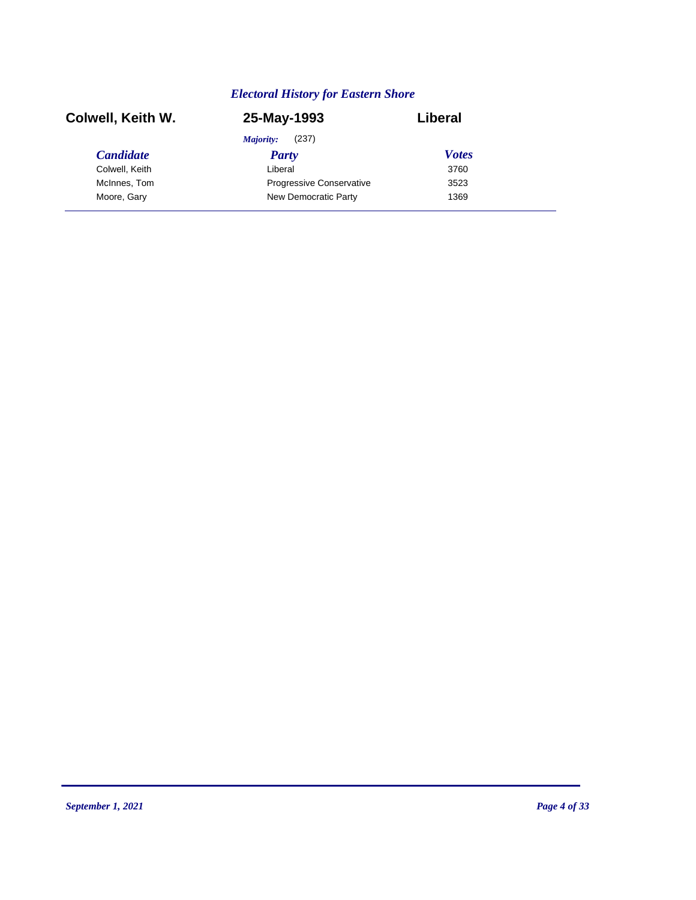| Colwell, Keith W. | 25-May-1993                     | Liberal      |  |
|-------------------|---------------------------------|--------------|--|
|                   | (237)<br>Majority:              |              |  |
| <b>Candidate</b>  | Party                           | <b>Votes</b> |  |
| Colwell, Keith    | Liberal                         | 3760         |  |
| McInnes, Tom      | <b>Progressive Conservative</b> | 3523         |  |
| Moore, Gary       | New Democratic Party            | 1369         |  |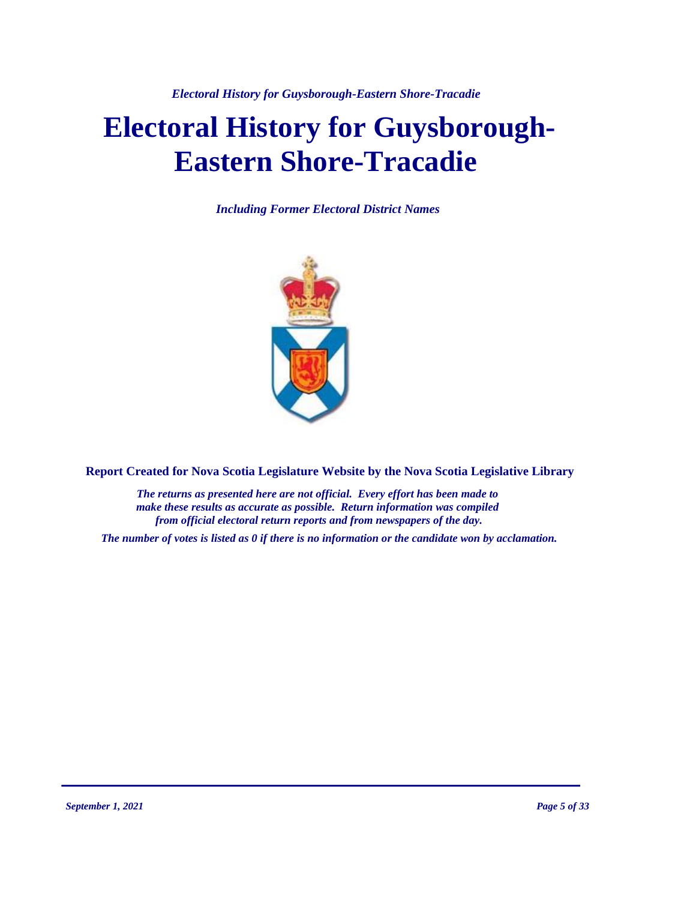*Electoral History for Guysborough-Eastern Shore-Tracadie*

# **Electoral History for Guysborough-Eastern Shore-Tracadie**

*Including Former Electoral District Names*



**Report Created for Nova Scotia Legislature Website by the Nova Scotia Legislative Library**

*The returns as presented here are not official. Every effort has been made to make these results as accurate as possible. Return information was compiled from official electoral return reports and from newspapers of the day.*

*The number of votes is listed as 0 if there is no information or the candidate won by acclamation.*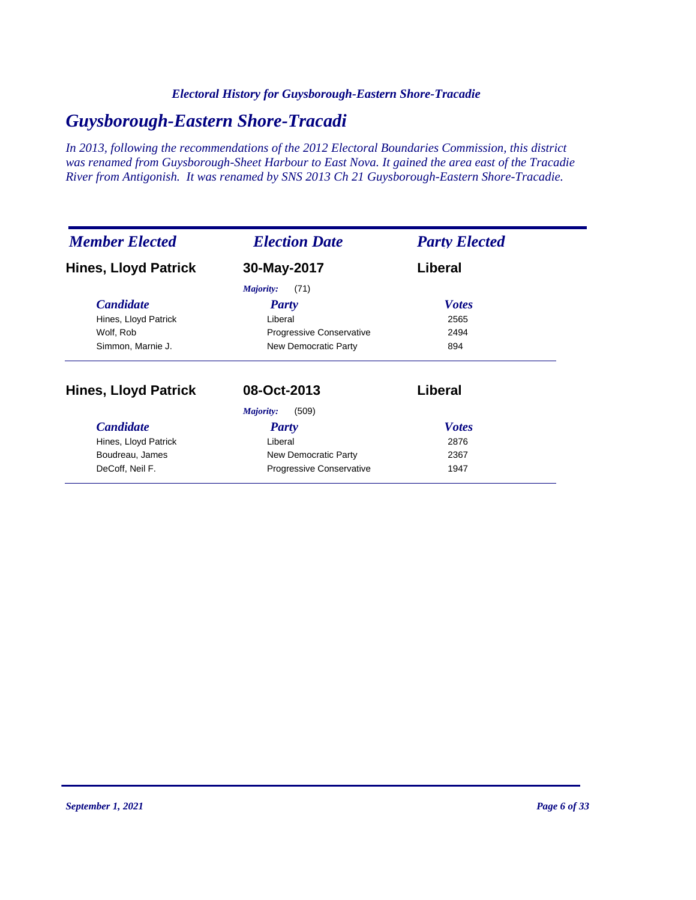### *Electoral History for Guysborough-Eastern Shore-Tracadie*

# *Guysborough-Eastern Shore-Tracadi*

*In 2013, following the recommendations of the 2012 Electoral Boundaries Commission, this district was renamed from Guysborough-Sheet Harbour to East Nova. It gained the area east of the Tracadie River from Antigonish. It was renamed by SNS 2013 Ch 21 Guysborough-Eastern Shore-Tracadie.*

| <b>Member Elected</b>       | <b>Election Date</b>     | <b>Party Elected</b> |
|-----------------------------|--------------------------|----------------------|
| <b>Hines, Lloyd Patrick</b> | 30-May-2017              | Liberal              |
|                             | Majority:<br>(71)        |                      |
| <b>Candidate</b>            | Party                    | <b>Votes</b>         |
| Hines, Lloyd Patrick        | Liberal                  | 2565                 |
| Wolf, Rob                   | Progressive Conservative | 2494                 |
| Simmon, Marnie J.           | New Democratic Party     | 894                  |
| <b>Hines, Lloyd Patrick</b> | 08-Oct-2013              | Liberal              |
|                             | (509)<br>Majority:       |                      |
| <b>Candidate</b>            | <b>Party</b>             | <b>Votes</b>         |
| Hines, Lloyd Patrick        | Liberal                  | 2876                 |
| Boudreau, James             | New Democratic Party     | 2367                 |
| DeCoff, Neil F.             | Progressive Conservative | 1947                 |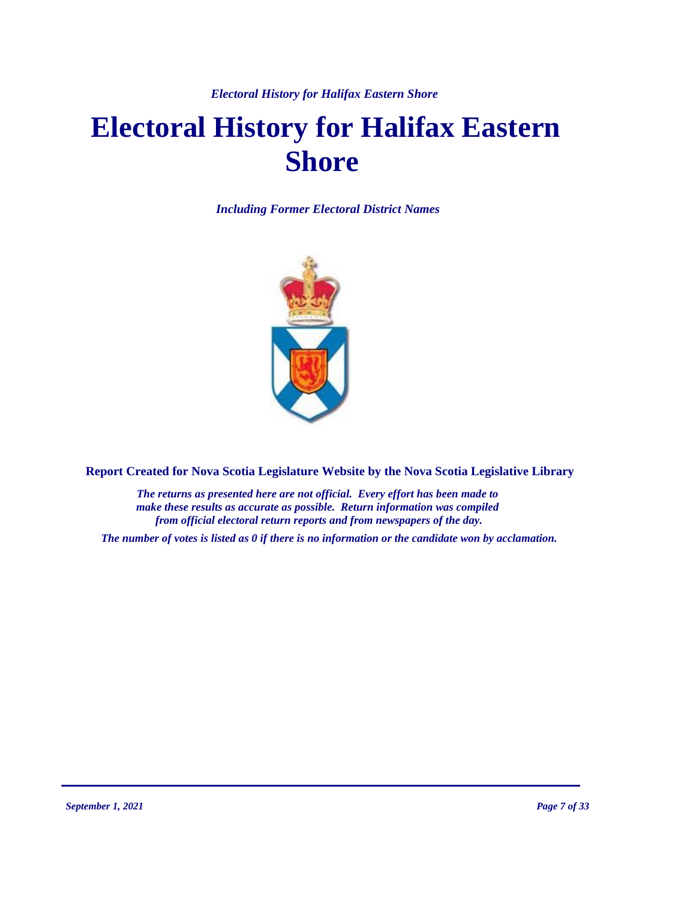*Electoral History for Halifax Eastern Shore* 

# **Electoral History for Halifax Eastern Shore**

*Including Former Electoral District Names*



**Report Created for Nova Scotia Legislature Website by the Nova Scotia Legislative Library**

*The returns as presented here are not official. Every effort has been made to make these results as accurate as possible. Return information was compiled from official electoral return reports and from newspapers of the day.*

*The number of votes is listed as 0 if there is no information or the candidate won by acclamation.*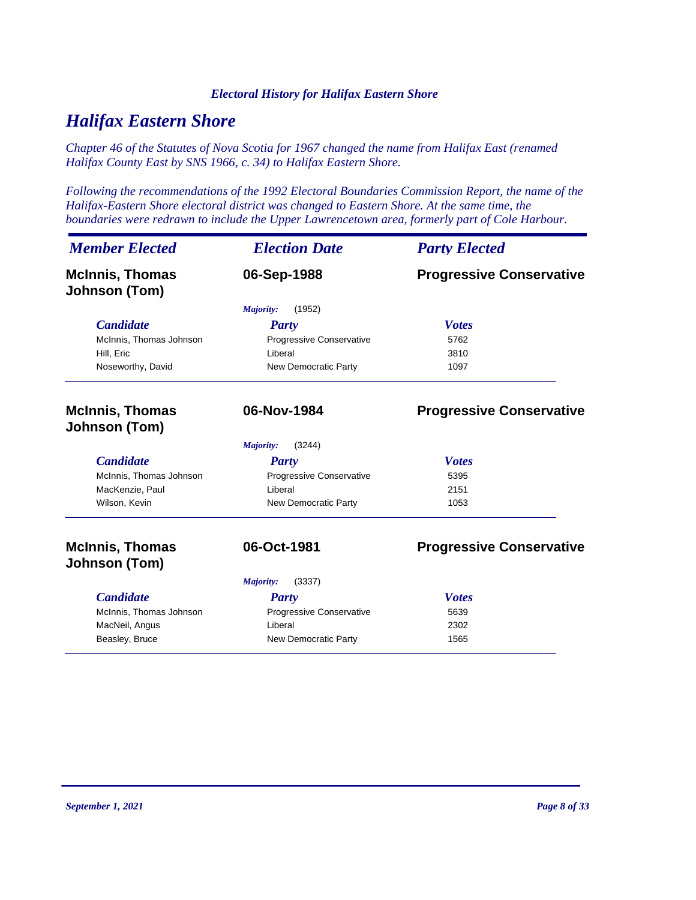### *Electoral History for Halifax Eastern Shore*

# *Halifax Eastern Shore*

*Chapter 46 of the Statutes of Nova Scotia for 1967 changed the name from Halifax East (renamed Halifax County East by SNS 1966, c. 34) to Halifax Eastern Shore.*

*Following the recommendations of the 1992 Electoral Boundaries Commission Report, the name of the Halifax-Eastern Shore electoral district was changed to Eastern Shore. At the same time, the boundaries were redrawn to include the Upper Lawrencetown area, formerly part of Cole Harbour.*

| <b>Member Elected</b>                          | <b>Election Date</b>     | <b>Party Elected</b>            |
|------------------------------------------------|--------------------------|---------------------------------|
| <b>McInnis, Thomas</b><br><b>Johnson (Tom)</b> | 06-Sep-1988              | <b>Progressive Conservative</b> |
|                                                | (1952)<br>Majority:      |                                 |
| <b>Candidate</b>                               | <b>Party</b>             | <b>Votes</b>                    |
| McInnis, Thomas Johnson                        | Progressive Conservative | 5762                            |
| Hill, Eric                                     | Liberal                  | 3810                            |
| Noseworthy, David                              | New Democratic Party     | 1097                            |
| <b>McInnis, Thomas</b><br>Johnson (Tom)        | 06-Nov-1984              | <b>Progressive Conservative</b> |
|                                                | (3244)<br>Majority:      |                                 |
| <b>Candidate</b>                               | <b>Party</b>             | <b>Votes</b>                    |
| McInnis, Thomas Johnson                        | Progressive Conservative | 5395                            |
| MacKenzie, Paul                                | Liberal                  | 2151                            |
| Wilson, Kevin                                  | New Democratic Party     | 1053                            |
| <b>McInnis, Thomas</b>                         | 06-Oct-1981              | <b>Progressive Conservative</b> |
| Johnson (Tom)                                  |                          |                                 |
|                                                | (3337)<br>Majority:      |                                 |
| <b>Candidate</b>                               | Party                    | <b>Votes</b>                    |
| McInnis, Thomas Johnson                        | Progressive Conservative | 5639                            |
| MacNeil, Angus                                 | Liberal                  | 2302                            |
| Beasley, Bruce                                 | New Democratic Party     | 1565                            |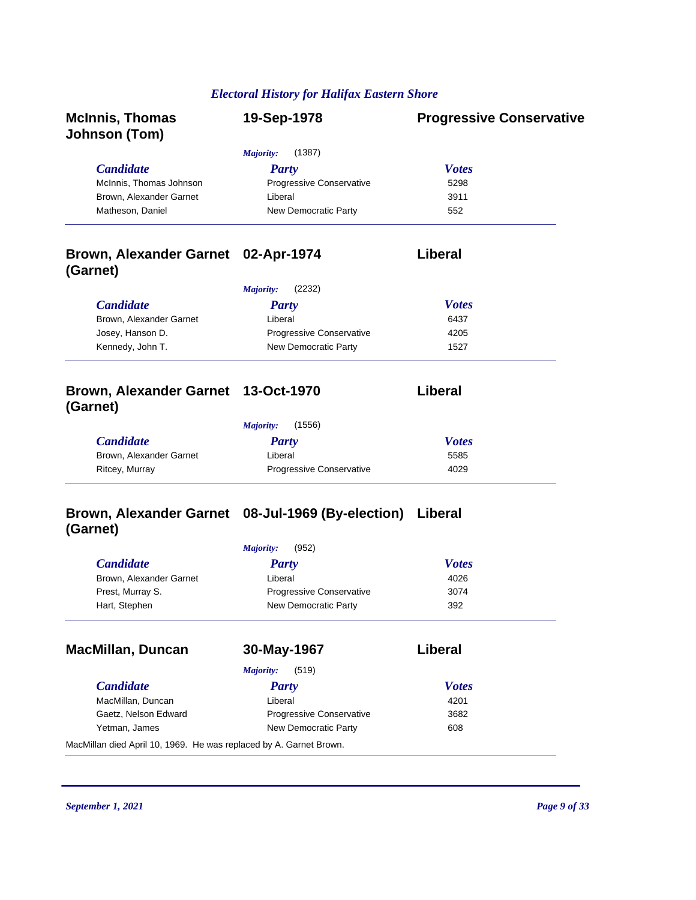# *Electoral History for Halifax Eastern Shore*

| <b>McInnis, Thomas</b><br>Johnson (Tom)                            | 19-Sep-1978                                       | <b>Progressive Conservative</b> |
|--------------------------------------------------------------------|---------------------------------------------------|---------------------------------|
|                                                                    | <b>Majority:</b><br>(1387)                        |                                 |
| <b>Candidate</b>                                                   | <b>Party</b>                                      | <b>Votes</b>                    |
| McInnis, Thomas Johnson                                            | Progressive Conservative                          | 5298                            |
| Brown, Alexander Garnet                                            | Liberal                                           | 3911                            |
| Matheson, Daniel                                                   | New Democratic Party                              | 552                             |
| Brown, Alexander Garnet 02-Apr-1974<br>(Garnet)                    |                                                   | Liberal                         |
|                                                                    | <b>Majority:</b><br>(2232)                        |                                 |
| <b>Candidate</b>                                                   | <b>Party</b>                                      | <b>Votes</b>                    |
| Brown, Alexander Garnet                                            | Liberal                                           | 6437                            |
| Josey, Hanson D.                                                   | Progressive Conservative                          | 4205                            |
| Kennedy, John T.                                                   | New Democratic Party                              | 1527                            |
| Brown, Alexander Garnet 13-Oct-1970<br>(Garnet)                    |                                                   | Liberal                         |
|                                                                    | <b>Majority:</b><br>(1556)                        |                                 |
| <b>Candidate</b>                                                   | <b>Party</b>                                      | <b>Votes</b>                    |
| Brown, Alexander Garnet                                            | Liberal                                           | 5585                            |
| Ritcey, Murray                                                     | Progressive Conservative                          | 4029                            |
| (Garnet)                                                           | Brown, Alexander Garnet 08-Jul-1969 (By-election) | Liberal                         |
|                                                                    | <b>Majority:</b><br>(952)                         |                                 |
| <b>Candidate</b>                                                   | <b>Party</b>                                      | <b>Votes</b>                    |
| Brown, Alexander Garnet                                            | Liberal                                           | 4026                            |
| Prest, Murray S.                                                   | Progressive Conservative                          | 3074                            |
| Hart, Stephen                                                      | New Democratic Party                              | 392                             |
| <b>MacMillan, Duncan</b>                                           | 30-May-1967                                       | Liberal                         |
|                                                                    | (519)<br>Majority:                                |                                 |
| <b>Candidate</b>                                                   | <b>Party</b>                                      | <b>Votes</b>                    |
| MacMillan, Duncan                                                  | Liberal                                           | 4201                            |
| Gaetz, Nelson Edward                                               | Progressive Conservative                          | 3682                            |
| Yetman, James                                                      | New Democratic Party                              | 608                             |
| MacMillan died April 10, 1969. He was replaced by A. Garnet Brown. |                                                   |                                 |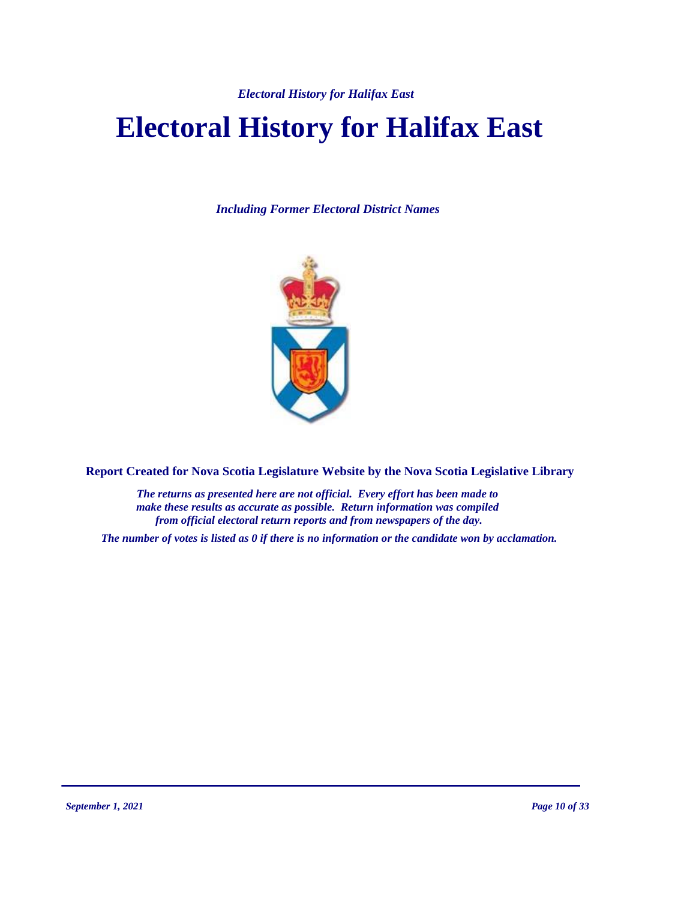*Electoral History for Halifax East*

# **Electoral History for Halifax East**

*Including Former Electoral District Names*



**Report Created for Nova Scotia Legislature Website by the Nova Scotia Legislative Library**

*The returns as presented here are not official. Every effort has been made to make these results as accurate as possible. Return information was compiled from official electoral return reports and from newspapers of the day.*

*The number of votes is listed as 0 if there is no information or the candidate won by acclamation.*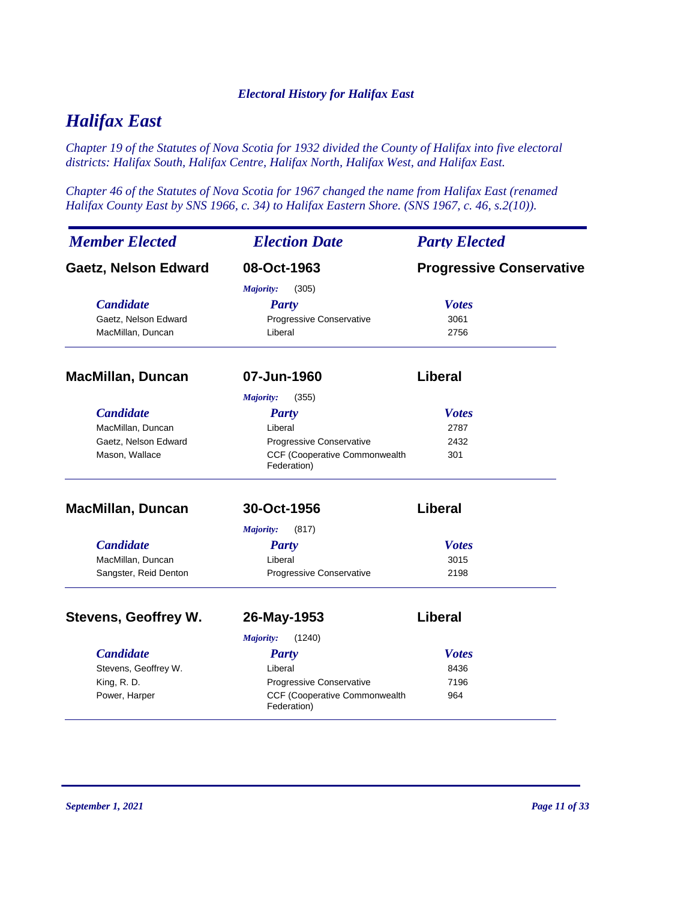### *Electoral History for Halifax East*

# *Halifax East*

*Chapter 19 of the Statutes of Nova Scotia for 1932 divided the County of Halifax into five electoral districts: Halifax South, Halifax Centre, Halifax North, Halifax West, and Halifax East.*

*Chapter 46 of the Statutes of Nova Scotia for 1967 changed the name from Halifax East (renamed Halifax County East by SNS 1966, c. 34) to Halifax Eastern Shore. (SNS 1967, c. 46, s.2(10)).*

| <b>Member Elected</b>       | <b>Election Date</b>                                | <b>Party Elected</b>            |
|-----------------------------|-----------------------------------------------------|---------------------------------|
| <b>Gaetz, Nelson Edward</b> | 08-Oct-1963                                         | <b>Progressive Conservative</b> |
|                             | Majority:<br>(305)                                  |                                 |
| <b>Candidate</b>            | <b>Party</b>                                        | <b>Votes</b>                    |
| Gaetz, Nelson Edward        | Progressive Conservative                            | 3061                            |
| MacMillan, Duncan           | Liberal                                             | 2756                            |
| <b>MacMillan, Duncan</b>    | 07-Jun-1960                                         | Liberal                         |
|                             | (355)<br><b>Majority:</b>                           |                                 |
| <b>Candidate</b>            | <b>Party</b>                                        | <b>Votes</b>                    |
| MacMillan, Duncan           | Liberal                                             | 2787                            |
| Gaetz, Nelson Edward        | Progressive Conservative                            | 2432                            |
| Mason, Wallace              | CCF (Cooperative Commonwealth<br>Federation)        | 301                             |
| <b>MacMillan, Duncan</b>    | 30-Oct-1956                                         | <b>Liberal</b>                  |
|                             | (817)<br>Majority:                                  |                                 |
| <b>Candidate</b>            | <b>Party</b>                                        | <b>Votes</b>                    |
| MacMillan, Duncan           | Liberal                                             | 3015                            |
| Sangster, Reid Denton       | Progressive Conservative                            | 2198                            |
| <b>Stevens, Geoffrey W.</b> | 26-May-1953                                         | Liberal                         |
|                             | <b>Majority:</b><br>(1240)                          |                                 |
| <b>Candidate</b>            | <b>Party</b>                                        | <b>Votes</b>                    |
| Stevens, Geoffrey W.        | Liberal                                             | 8436                            |
| King, R.D.                  | Progressive Conservative                            | 7196                            |
| Power, Harper               | <b>CCF (Cooperative Commonwealth</b><br>Federation) | 964                             |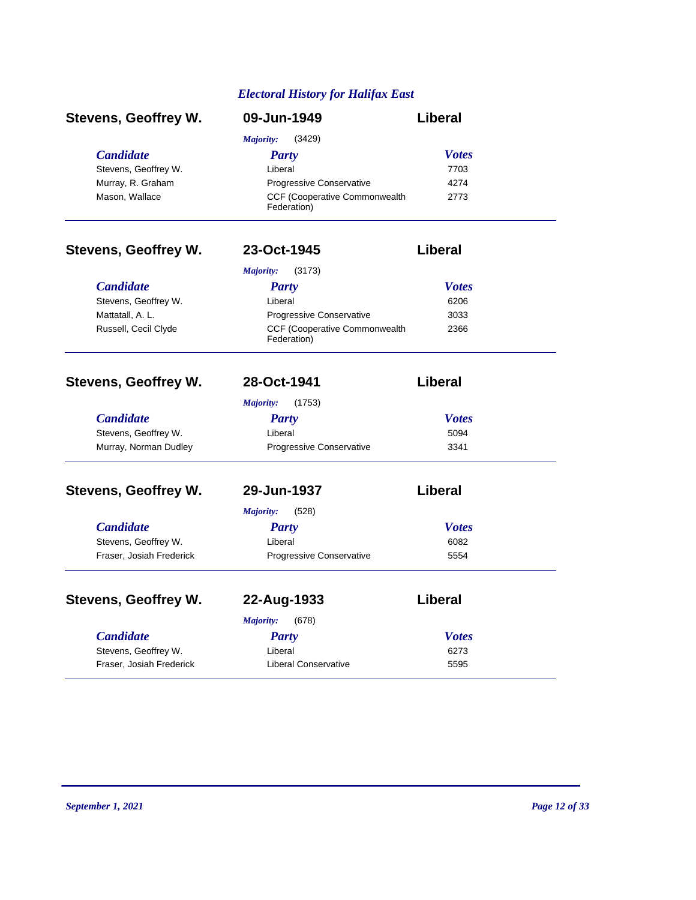# *Electoral History for Halifax East*

| <b>Stevens, Geoffrey W.</b> | 09-Jun-1949                                         | Liberal        |
|-----------------------------|-----------------------------------------------------|----------------|
|                             | (3429)<br>Majority:                                 |                |
| <b>Candidate</b>            | <b>Party</b>                                        | <b>Votes</b>   |
| Stevens, Geoffrey W.        | Liberal                                             | 7703           |
| Murray, R. Graham           | Progressive Conservative                            | 4274           |
| Mason, Wallace              | CCF (Cooperative Commonwealth<br>Federation)        | 2773           |
| <b>Stevens, Geoffrey W.</b> | 23-Oct-1945                                         | <b>Liberal</b> |
|                             | (3173)<br>Majority:                                 |                |
| <b>Candidate</b>            | <b>Party</b>                                        | <b>Votes</b>   |
| Stevens, Geoffrey W.        | Liberal                                             | 6206           |
| Mattatall, A. L.            | Progressive Conservative                            | 3033           |
| Russell, Cecil Clyde        | <b>CCF (Cooperative Commonwealth</b><br>Federation) | 2366           |
| <b>Stevens, Geoffrey W.</b> | 28-Oct-1941                                         | <b>Liberal</b> |
|                             | (1753)<br>Majority:                                 |                |
| <b>Candidate</b>            | <b>Party</b>                                        | <b>Votes</b>   |
| Stevens, Geoffrey W.        | Liberal                                             | 5094           |
| Murray, Norman Dudley       | Progressive Conservative                            | 3341           |
| <b>Stevens, Geoffrey W.</b> | 29-Jun-1937                                         | Liberal        |
|                             | (528)<br>Majority:                                  |                |
| <b>Candidate</b>            | <b>Party</b>                                        | <b>Votes</b>   |
| Stevens, Geoffrey W.        | Liberal                                             | 6082           |
| Fraser, Josiah Frederick    | <b>Progressive Conservative</b>                     | 5554           |
| <b>Stevens, Geoffrey W.</b> | 22-Aug-1933                                         | Liberal        |
|                             | Majority:<br>(678)                                  |                |
| <b>Candidate</b>            | <b>Party</b>                                        | <b>Votes</b>   |
| Stevens, Geoffrey W.        | Liberal                                             | 6273           |
| Fraser, Josiah Frederick    | <b>Liberal Conservative</b>                         | 5595           |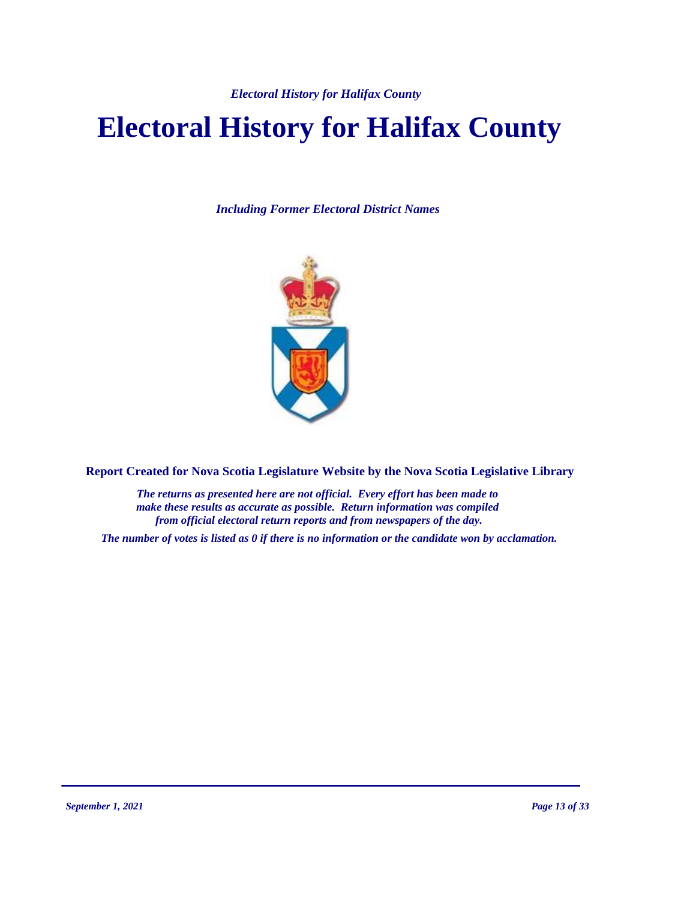# **Electoral History for Halifax County**

*Including Former Electoral District Names*



**Report Created for Nova Scotia Legislature Website by the Nova Scotia Legislative Library**

*The returns as presented here are not official. Every effort has been made to make these results as accurate as possible. Return information was compiled from official electoral return reports and from newspapers of the day.*

*The number of votes is listed as 0 if there is no information or the candidate won by acclamation.*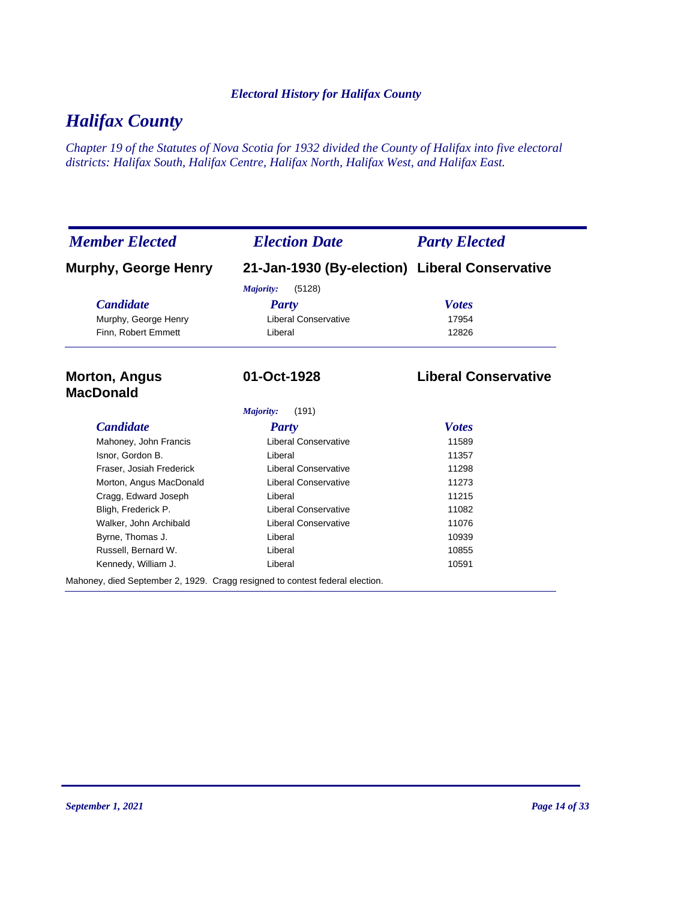# *Halifax County*

*Chapter 19 of the Statutes of Nova Scotia for 1932 divided the County of Halifax into five electoral districts: Halifax South, Halifax Centre, Halifax North, Halifax West, and Halifax East.*

| <b>Member Elected</b>                                                        | <b>Election Date</b>                           | <b>Party Elected</b>        |
|------------------------------------------------------------------------------|------------------------------------------------|-----------------------------|
| <b>Murphy, George Henry</b>                                                  | 21-Jan-1930 (By-election) Liberal Conservative |                             |
|                                                                              | (5128)<br>Majority:                            |                             |
| <b>Candidate</b>                                                             | Party                                          | <b>Votes</b>                |
| Murphy, George Henry                                                         | <b>Liberal Conservative</b>                    | 17954                       |
| Finn, Robert Emmett                                                          | Liberal                                        | 12826                       |
| <b>Morton, Angus</b><br><b>MacDonald</b>                                     | 01-Oct-1928                                    | <b>Liberal Conservative</b> |
|                                                                              | Majority:<br>(191)                             |                             |
| <b>Candidate</b>                                                             | <b>Party</b>                                   | <b>Votes</b>                |
| Mahoney, John Francis                                                        | <b>Liberal Conservative</b>                    | 11589                       |
| Isnor, Gordon B.                                                             | Liberal                                        | 11357                       |
| Fraser, Josiah Frederick                                                     | <b>Liberal Conservative</b>                    | 11298                       |
| Morton, Angus MacDonald                                                      | <b>Liberal Conservative</b>                    | 11273                       |
| Cragg, Edward Joseph                                                         | Liberal                                        | 11215                       |
| Bligh, Frederick P.                                                          | <b>Liberal Conservative</b>                    | 11082                       |
| Walker, John Archibald                                                       | <b>Liberal Conservative</b>                    | 11076                       |
| Byrne, Thomas J.                                                             | Liberal                                        | 10939                       |
| Russell, Bernard W.                                                          | Liberal                                        | 10855                       |
| Kennedy, William J.                                                          | Liberal                                        | 10591                       |
| Mahoney, died September 2, 1929. Cragg resigned to contest federal election. |                                                |                             |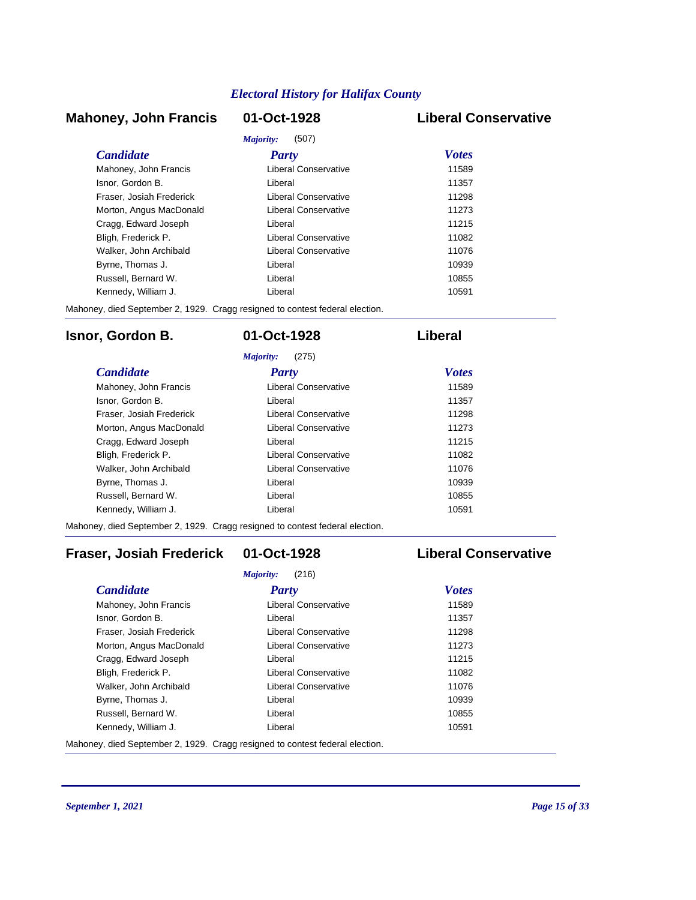# **Mahoney, John Francis 01-Oct-1928 Liberal Conservative**

# *Majority:* (507)

| <i>Candidate</i>         | <b>Party</b>                | <b>Votes</b> |
|--------------------------|-----------------------------|--------------|
| Mahoney, John Francis    | Liberal Conservative        | 11589        |
| Isnor, Gordon B.         | Liberal                     | 11357        |
| Fraser, Josiah Frederick | <b>Liberal Conservative</b> | 11298        |
| Morton, Angus MacDonald  | Liberal Conservative        | 11273        |
| Cragg, Edward Joseph     | Liberal                     | 11215        |
| Bligh, Frederick P.      | Liberal Conservative        | 11082        |
| Walker, John Archibald   | Liberal Conservative        | 11076        |
| Byrne, Thomas J.         | Liberal                     | 10939        |
| Russell, Bernard W.      | Liberal                     | 10855        |
| Kennedy, William J.      | Liberal                     | 10591        |

Mahoney, died September 2, 1929. Cragg resigned to contest federal election.

# **Isnor, Gordon B. 01-Oct-1928 Liberal**

|                          | (275)<br>Majority:   |              |
|--------------------------|----------------------|--------------|
| <b>Candidate</b>         | Party                | <b>Votes</b> |
| Mahoney, John Francis    | Liberal Conservative | 11589        |
| Isnor, Gordon B.         | Liberal              | 11357        |
| Fraser, Josiah Frederick | Liberal Conservative | 11298        |
| Morton, Angus MacDonald  | Liberal Conservative | 11273        |
| Cragg, Edward Joseph     | Liberal              | 11215        |
| Bligh, Frederick P.      | Liberal Conservative | 11082        |
| Walker, John Archibald   | Liberal Conservative | 11076        |
| Byrne, Thomas J.         | I iberal             | 10939        |
| Russell, Bernard W.      | I iberal             | 10855        |
| Kennedy, William J.      | Liberal              | 10591        |

Mahoney, died September 2, 1929. Cragg resigned to contest federal election.

# **Fraser, Josiah Frederick 01-Oct-1928 Liberal Conservative**

|                          | (216)<br>Majority:   |              |
|--------------------------|----------------------|--------------|
| <b>Candidate</b>         | Party                | <b>Votes</b> |
| Mahoney, John Francis    | Liberal Conservative | 11589        |
| Isnor, Gordon B.         | Liberal              | 11357        |
| Fraser, Josiah Frederick | Liberal Conservative | 11298        |
| Morton, Angus MacDonald  | Liberal Conservative | 11273        |
| Cragg, Edward Joseph     | Liberal              | 11215        |
| Bligh, Frederick P.      | Liberal Conservative | 11082        |
| Walker, John Archibald   | Liberal Conservative | 11076        |
| Byrne, Thomas J.         | Liberal              | 10939        |
| Russell, Bernard W.      | Liberal              | 10855        |
| Kennedy, William J.      | Liberal              | 10591        |

Mahoney, died September 2, 1929. Cragg resigned to contest federal election.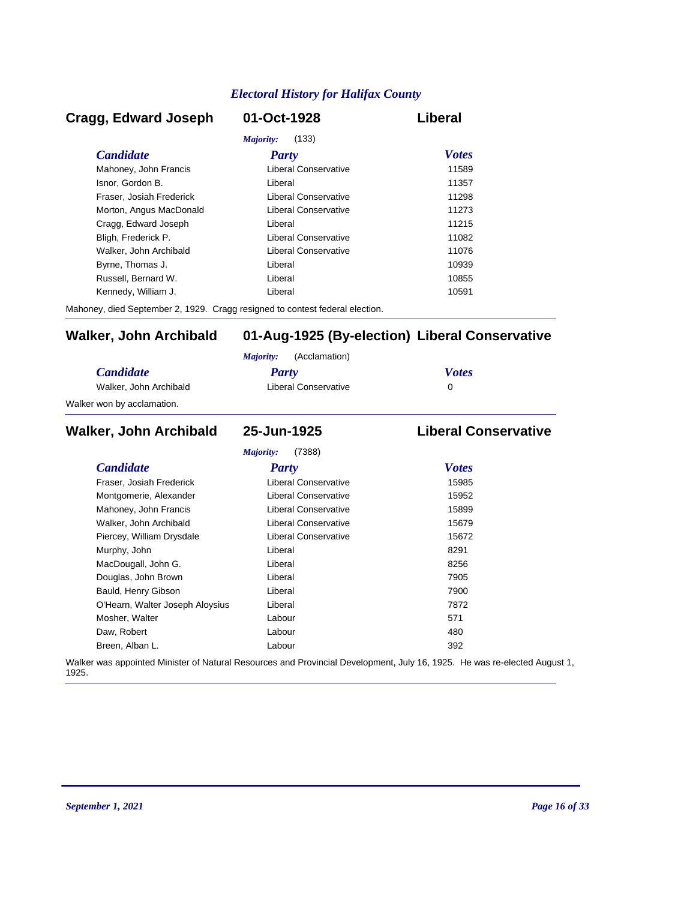# *Candidate Party Votes* **Cragg, Edward Joseph 01-Oct-1928 Liberal** *Majority:* (133) Mahoney, John Francis **Liberal Conservative** 11589 Isnor, Gordon B. Liberal 11357 Fraser, Josiah Frederick Liberal Conservative 11298 Morton, Angus MacDonald **Liberal Conservative** 11273 Cragg, Edward Joseph Liberal 11215 Bligh, Frederick P. Liberal Conservative 11082 Walker, John Archibald **Liberal Conservative** 11076 Byrne, Thomas J. Christian Liberal Liberal Christian Museum and the 10939 Russell, Bernard W. Liberal 10855 Kennedy, William J. Christian Liberal Liberal Christian Museum of the 10591

Mahoney, died September 2, 1929. Cragg resigned to contest federal election.

# **Walker, John Archibald 01-Aug-1925 (By-election) Liberal Conservative**

|                            | (Acclamation)<br>Maiority: |              |
|----------------------------|----------------------------|--------------|
| <i>Candidate</i>           | Party                      | <b>Votes</b> |
| Walker, John Archibald     | Liberal Conservative       |              |
| Walker won by acclamation. |                            |              |

## *Candidate Party Votes* **Walker, John Archibald 25-Jun-1925 Liberal Conservative** *Majority:* (7388) Fraser, Josiah Frederick Liberal Conservative 15985 Montgomerie, Alexander **Liberal Conservative** 15952 Mahoney, John Francis **Liberal Conservative** 15899 Walker, John Archibald **Liberal Conservative** 15679 Piercey, William Drysdale **Liberal Conservative** 15672 Murphy, John **Base Communist Communist Communist Communist Communist Communist Communist Communist Communist Communist Communist Communist Communist Communist Communist Communist Communist Communist Communist Communist Com** MacDougall, John G. Christian Muslim Liberal Christian Muslim Bacher 8256 Douglas, John Brown **Digest Example 2018** Liberal *T905* 7905 Bauld, Henry Gibson Liberal 7900 O'Hearn, Walter Joseph Aloysius Liberal Liberal 27872 Mosher, Walter **Contract Contract Contract Contract Contract Contract Contract Contract Contract Contract Contract Contract Contract Contract Contract Contract Contract Contract Contract Contract Contract Contract Contract** Daw, Robert Labour 480 Breen, Alban L. Labour 392

Walker was appointed Minister of Natural Resources and Provincial Development, July 16, 1925. He was re-elected August 1, 1925.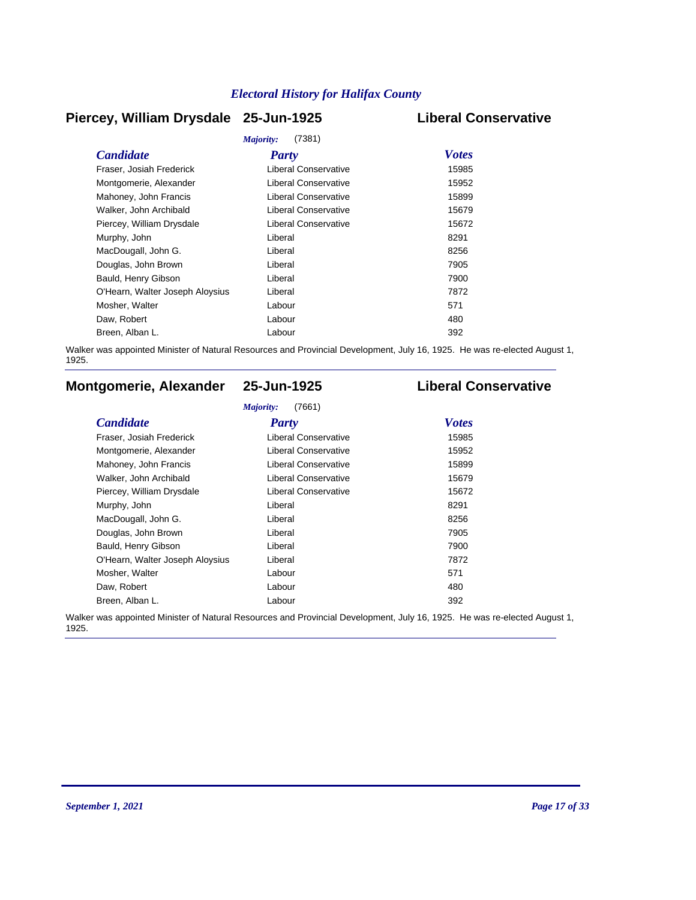# **Piercey, William Drysdale 25-Jun-1925 Liberal Conservative**

|                                 | Majority:<br>(7381)         |              |
|---------------------------------|-----------------------------|--------------|
| <b>Candidate</b>                | <b>Party</b>                | <b>Votes</b> |
| Fraser, Josiah Frederick        | Liberal Conservative        | 15985        |
| Montgomerie, Alexander          | <b>Liberal Conservative</b> | 15952        |
| Mahoney, John Francis           | Liberal Conservative        | 15899        |
| Walker, John Archibald          | <b>Liberal Conservative</b> | 15679        |
| Piercey, William Drysdale       | Liberal Conservative        | 15672        |
| Murphy, John                    | Liberal                     | 8291         |
| MacDougall, John G.             | Liberal                     | 8256         |
| Douglas, John Brown             | Liberal                     | 7905         |
| Bauld, Henry Gibson             | Liberal                     | 7900         |
| O'Hearn, Walter Joseph Aloysius | Liberal                     | 7872         |
| Mosher, Walter                  | Labour                      | 571          |
| Daw, Robert                     | Labour                      | 480          |
| Breen, Alban L.                 | Labour                      | 392          |

Walker was appointed Minister of Natural Resources and Provincial Development, July 16, 1925. He was re-elected August 1, 1925.

# **Montgomerie, Alexander 25-Jun-1925 Liberal Conservative**

### *Majority:* (7661)

| <b>Candidate</b>                | <b>Party</b>                | <b>Votes</b> |
|---------------------------------|-----------------------------|--------------|
| Fraser, Josiah Frederick        | Liberal Conservative        | 15985        |
| Montgomerie, Alexander          | Liberal Conservative        | 15952        |
| Mahoney, John Francis           | <b>Liberal Conservative</b> | 15899        |
| Walker, John Archibald          | <b>Liberal Conservative</b> | 15679        |
| Piercey, William Drysdale       | Liberal Conservative        | 15672        |
| Murphy, John                    | Liberal                     | 8291         |
| MacDougall, John G.             | Liberal                     | 8256         |
| Douglas, John Brown             | Liberal                     | 7905         |
| Bauld, Henry Gibson             | Liberal                     | 7900         |
| O'Hearn, Walter Joseph Aloysius | Liberal                     | 7872         |
| Mosher, Walter                  | Labour                      | 571          |
| Daw, Robert                     | Labour                      | 480          |
| Breen, Alban L.                 | Labour                      | 392          |

Walker was appointed Minister of Natural Resources and Provincial Development, July 16, 1925. He was re-elected August 1, 1925.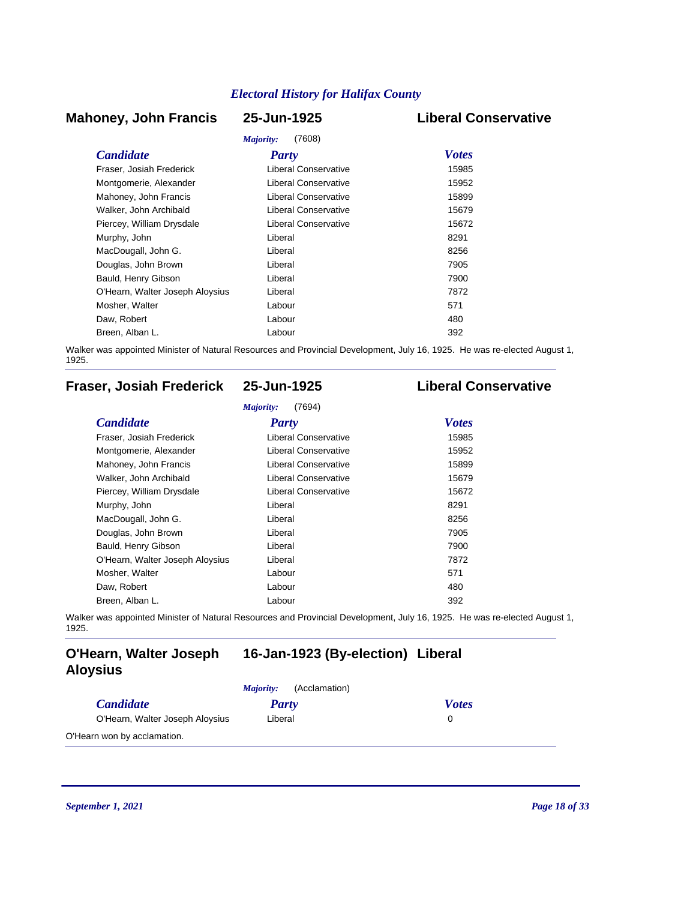# **Mahoney, John Francis 25-Jun-1925 Liberal Conservative**

# *Majority:* (7608)

|                                 | <i>Majority:</i><br>(7608)  |              |
|---------------------------------|-----------------------------|--------------|
| <b>Candidate</b>                | <b>Party</b>                | <b>Votes</b> |
| Fraser, Josiah Frederick        | Liberal Conservative        | 15985        |
| Montgomerie, Alexander          | <b>Liberal Conservative</b> | 15952        |
| Mahoney, John Francis           | Liberal Conservative        | 15899        |
| Walker, John Archibald          | Liberal Conservative        | 15679        |
| Piercey, William Drysdale       | Liberal Conservative        | 15672        |
| Murphy, John                    | Liberal                     | 8291         |
| MacDougall, John G.             | Liberal                     | 8256         |
| Douglas, John Brown             | Liberal                     | 7905         |
| Bauld, Henry Gibson             | Liberal                     | 7900         |
| O'Hearn, Walter Joseph Aloysius | Liberal                     | 7872         |
| Mosher, Walter                  | Labour                      | 571          |
| Daw, Robert                     | Labour                      | 480          |
| Breen, Alban L.                 | Labour                      | 392          |

Walker was appointed Minister of Natural Resources and Provincial Development, July 16, 1925. He was re-elected August 1, 1925.

# **Fraser, Josiah Frederick 25-Jun-1925 Liberal Conservative**

| <b>Candidate</b>                | Party                       | <b>Votes</b> |
|---------------------------------|-----------------------------|--------------|
| Fraser, Josiah Frederick        | Liberal Conservative        | 15985        |
| Montgomerie, Alexander          | <b>Liberal Conservative</b> | 15952        |
| Mahoney, John Francis           | <b>Liberal Conservative</b> | 15899        |
| Walker, John Archibald          | <b>Liberal Conservative</b> | 15679        |
| Piercey, William Drysdale       | Liberal Conservative        | 15672        |
| Murphy, John                    | Liberal                     | 8291         |
| MacDougall, John G.             | Liberal                     | 8256         |
| Douglas, John Brown             | Liberal                     | 7905         |
| Bauld, Henry Gibson             | Liberal                     | 7900         |
| O'Hearn, Walter Joseph Aloysius | Liberal                     | 7872         |
| Mosher, Walter                  | Labour                      | 571          |
| Daw, Robert                     | Labour                      | 480          |
| Breen, Alban L.                 | Labour                      | 392          |

Walker was appointed Minister of Natural Resources and Provincial Development, July 16, 1925. He was re-elected August 1, 1925.

# **O'Hearn, Walter Joseph 16-Jan-1923 (By-election) Liberal Aloysius**

|                                 | (Acclamation)<br>Majority: |              |
|---------------------------------|----------------------------|--------------|
| <i>Candidate</i>                | Party                      | <b>Votes</b> |
| O'Hearn, Walter Joseph Aloysius | Liberal                    |              |
| O'Hearn won by acclamation.     |                            |              |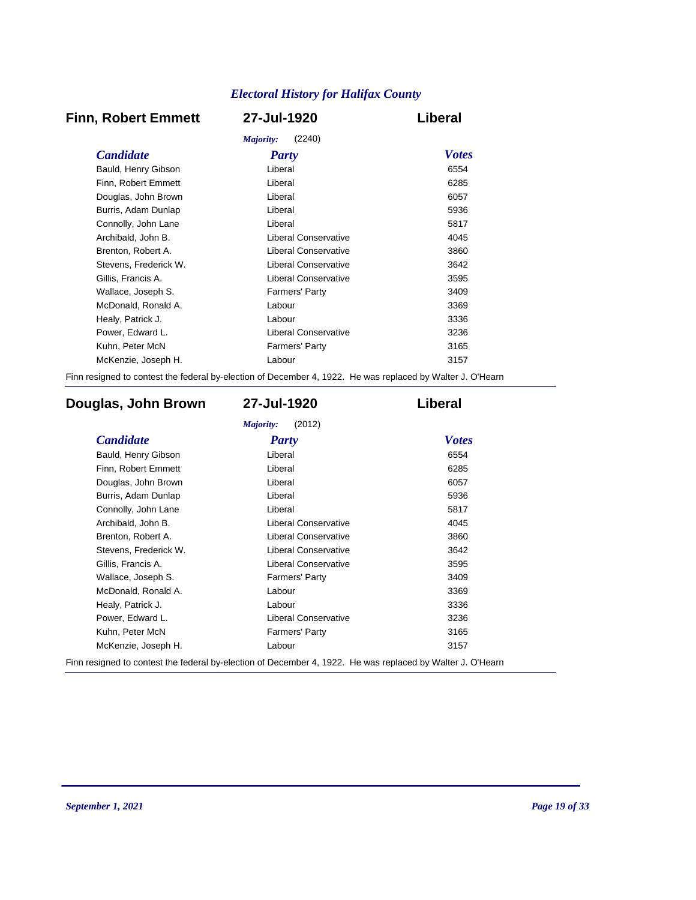# **Finn, Robert Emmett 27-Jul-1920 Liberal**

|                       | (2240)<br>Majority:         |              |
|-----------------------|-----------------------------|--------------|
| <i>Candidate</i>      | <b>Party</b>                | <b>Votes</b> |
| Bauld, Henry Gibson   | Liberal                     | 6554         |
| Finn, Robert Emmett   | Liberal                     | 6285         |
| Douglas, John Brown   | Liberal                     | 6057         |
| Burris, Adam Dunlap   | Liberal                     | 5936         |
| Connolly, John Lane   | Liberal                     | 5817         |
| Archibald, John B.    | Liberal Conservative        | 4045         |
| Brenton, Robert A.    | <b>Liberal Conservative</b> | 3860         |
| Stevens, Frederick W. | Liberal Conservative        | 3642         |
| Gillis, Francis A.    | Liberal Conservative        | 3595         |
| Wallace, Joseph S.    | Farmers' Party              | 3409         |
| McDonald, Ronald A.   | Labour                      | 3369         |
| Healy, Patrick J.     | Labour                      | 3336         |
| Power, Edward L.      | Liberal Conservative        | 3236         |
| Kuhn, Peter McN       | <b>Farmers' Party</b>       | 3165         |
| McKenzie, Joseph H.   | Labour                      | 3157         |
|                       |                             |              |

Finn resigned to contest the federal by-election of December 4, 1922. He was replaced by Walter J. O'Hearn

# **Douglas, John Brown 27-Jul-1920 Liberal**

| <b>Candidate</b>      | <b>Party</b>                | <b>Votes</b> |
|-----------------------|-----------------------------|--------------|
| Bauld, Henry Gibson   | Liberal                     | 6554         |
| Finn, Robert Emmett   | Liberal                     | 6285         |
| Douglas, John Brown   | Liberal                     | 6057         |
| Burris, Adam Dunlap   | Liberal                     | 5936         |
| Connolly, John Lane   | Liberal                     | 5817         |
| Archibald, John B.    | <b>Liberal Conservative</b> | 4045         |
| Brenton, Robert A.    | <b>Liberal Conservative</b> | 3860         |
| Stevens, Frederick W. | <b>Liberal Conservative</b> | 3642         |
| Gillis, Francis A.    | <b>Liberal Conservative</b> | 3595         |
| Wallace, Joseph S.    | <b>Farmers' Party</b>       | 3409         |
| McDonald, Ronald A.   | Labour                      | 3369         |
| Healy, Patrick J.     | Labour                      | 3336         |
| Power, Edward L.      | <b>Liberal Conservative</b> | 3236         |
| Kuhn, Peter McN       | Farmers' Party              | 3165         |
| McKenzie, Joseph H.   | Labour                      | 3157         |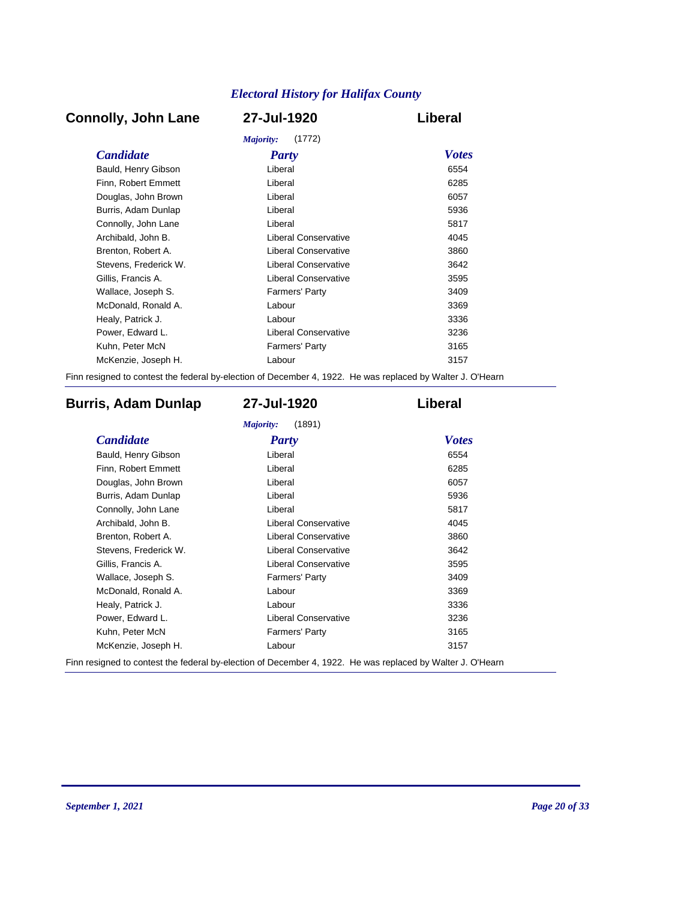# **Connolly, John Lane 27-Jul-1920 Liberal**

| Majority:<br>(1772)   |                             |              |  |
|-----------------------|-----------------------------|--------------|--|
| <i>Candidate</i>      | <b>Party</b>                | <b>Votes</b> |  |
| Bauld, Henry Gibson   | Liberal                     | 6554         |  |
| Finn, Robert Emmett   | Liberal                     | 6285         |  |
| Douglas, John Brown   | Liberal                     | 6057         |  |
| Burris, Adam Dunlap   | Liberal                     | 5936         |  |
| Connolly, John Lane   | Liberal                     | 5817         |  |
| Archibald, John B.    | Liberal Conservative        | 4045         |  |
| Brenton, Robert A.    | <b>Liberal Conservative</b> | 3860         |  |
| Stevens, Frederick W. | Liberal Conservative        | 3642         |  |
| Gillis, Francis A.    | Liberal Conservative        | 3595         |  |
| Wallace, Joseph S.    | <b>Farmers' Party</b>       | 3409         |  |
| McDonald, Ronald A.   | Labour                      | 3369         |  |
| Healy, Patrick J.     | Labour                      | 3336         |  |
| Power, Edward L.      | Liberal Conservative        | 3236         |  |
| Kuhn, Peter McN       | <b>Farmers' Party</b>       | 3165         |  |
| McKenzie, Joseph H.   | Labour                      | 3157         |  |
|                       |                             |              |  |

Finn resigned to contest the federal by-election of December 4, 1922. He was replaced by Walter J. O'Hearn

# **Burris, Adam Dunlap 27-Jul-1920 Liberal**

| <b>Candidate</b>      | <b>Party</b>                | <b>Votes</b> |
|-----------------------|-----------------------------|--------------|
| Bauld, Henry Gibson   | Liberal                     | 6554         |
| Finn, Robert Emmett   | Liberal                     | 6285         |
| Douglas, John Brown   | Liberal                     | 6057         |
| Burris, Adam Dunlap   | Liberal                     | 5936         |
| Connolly, John Lane   | Liberal                     | 5817         |
| Archibald, John B.    | Liberal Conservative        | 4045         |
| Brenton, Robert A.    | <b>Liberal Conservative</b> | 3860         |
| Stevens, Frederick W. | <b>Liberal Conservative</b> | 3642         |
| Gillis, Francis A.    | <b>Liberal Conservative</b> | 3595         |
| Wallace, Joseph S.    | <b>Farmers' Party</b>       | 3409         |
| McDonald, Ronald A.   | Labour                      | 3369         |
| Healy, Patrick J.     | Labour                      | 3336         |
| Power, Edward L.      | <b>Liberal Conservative</b> | 3236         |
| Kuhn, Peter McN       | <b>Farmers' Party</b>       | 3165         |
| McKenzie, Joseph H.   | Labour                      | 3157         |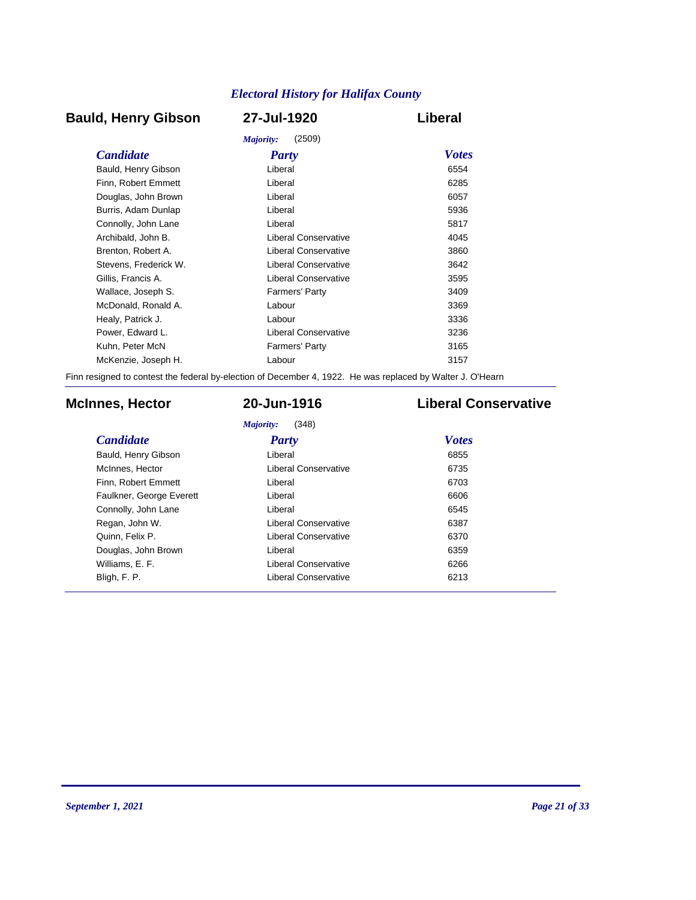# **Bauld, Henry Gibson 27-Jul-1920 Liberal**

|                       | (2509)<br>Majority:   |              |
|-----------------------|-----------------------|--------------|
| <b>Candidate</b>      | <b>Party</b>          | <b>Votes</b> |
| Bauld, Henry Gibson   | Liberal               | 6554         |
| Finn, Robert Emmett   | Liberal               | 6285         |
| Douglas, John Brown   | Liberal               | 6057         |
| Burris, Adam Dunlap   | Liberal               | 5936         |
| Connolly, John Lane   | Liberal               | 5817         |
| Archibald, John B.    | Liberal Conservative  | 4045         |
| Brenton, Robert A.    | Liberal Conservative  | 3860         |
| Stevens. Frederick W. | Liberal Conservative  | 3642         |
| Gillis, Francis A.    | Liberal Conservative  | 3595         |
| Wallace, Joseph S.    | <b>Farmers' Party</b> | 3409         |
| McDonald, Ronald A.   | Labour                | 3369         |
| Healy, Patrick J.     | Labour                | 3336         |
| Power, Edward L.      | Liberal Conservative  | 3236         |
| Kuhn, Peter McN       | <b>Farmers' Party</b> | 3165         |
| McKenzie, Joseph H.   | Labour                | 3157         |
|                       |                       |              |

Finn resigned to contest the federal by-election of December 4, 1922. He was replaced by Walter J. O'Hearn

# **McInnes, Hector 20-Jun-1916 Liberal Conservative**

*Majority:* (348)

| <b>Candidate</b>         | Party                       | <b>Votes</b> |
|--------------------------|-----------------------------|--------------|
| Bauld, Henry Gibson      | Liberal                     | 6855         |
| McInnes, Hector          | Liberal Conservative        | 6735         |
| Finn, Robert Emmett      | Liberal                     | 6703         |
| Faulkner, George Everett | Liberal                     | 6606         |
| Connolly, John Lane      | Liberal                     | 6545         |
| Regan, John W.           | <b>Liberal Conservative</b> | 6387         |
| Quinn, Felix P.          | Liberal Conservative        | 6370         |
| Douglas, John Brown      | Liberal                     | 6359         |
| Williams, E. F.          | Liberal Conservative        | 6266         |
| Bligh, F. P.             | <b>Liberal Conservative</b> | 6213         |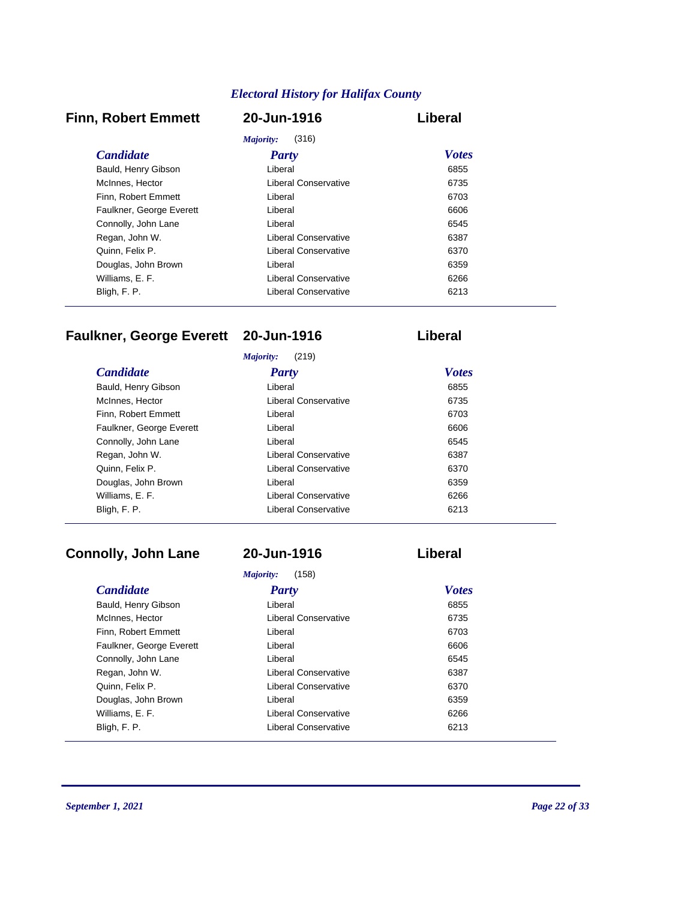# **Finn, Robert Emmett 20-Jun-1916 Liberal**

| (316)<br>Majority:       |                      |              |  |  |
|--------------------------|----------------------|--------------|--|--|
| <i>Candidate</i>         | Party                | <b>Votes</b> |  |  |
| Bauld, Henry Gibson      | Liberal              | 6855         |  |  |
| McInnes, Hector          | Liberal Conservative | 6735         |  |  |
| Finn, Robert Emmett      | Liberal              | 6703         |  |  |
| Faulkner, George Everett | Liberal              | 6606         |  |  |
| Connolly, John Lane      | Liberal              | 6545         |  |  |
| Regan, John W.           | Liberal Conservative | 6387         |  |  |
| Quinn, Felix P.          | Liberal Conservative | 6370         |  |  |
| Douglas, John Brown      | Liberal              | 6359         |  |  |
| Williams, E. F.          | Liberal Conservative | 6266         |  |  |
| Bligh, F. P.             | Liberal Conservative | 6213         |  |  |

# **Faulkner, George Everett 20-Jun-1916 Liberal**

|                          | (219)<br>Majority:   |              |  |
|--------------------------|----------------------|--------------|--|
| <b>Candidate</b>         | <b>Party</b>         | <b>Votes</b> |  |
| Bauld, Henry Gibson      | Liberal              | 6855         |  |
| McInnes, Hector          | Liberal Conservative | 6735         |  |
| Finn. Robert Emmett      | Liberal              | 6703         |  |
| Faulkner, George Everett | Liberal              | 6606         |  |
| Connolly, John Lane      | Liberal              | 6545         |  |
| Regan, John W.           | Liberal Conservative | 6387         |  |
| Quinn, Felix P.          | Liberal Conservative | 6370         |  |
| Douglas, John Brown      | Liberal              | 6359         |  |
| Williams, E. F.          | Liberal Conservative | 6266         |  |
| Bligh, F. P.             | Liberal Conservative | 6213         |  |
|                          |                      |              |  |

# **Connolly, John Lane 20-Jun-1916 Liberal**

| Majority:<br>(158)       |                      |              |  |  |
|--------------------------|----------------------|--------------|--|--|
| <b>Candidate</b>         | Party                | <b>Votes</b> |  |  |
| Bauld, Henry Gibson      | Liberal              | 6855         |  |  |
| McInnes, Hector          | Liberal Conservative | 6735         |  |  |
| Finn, Robert Emmett      | Liberal              | 6703         |  |  |
| Faulkner, George Everett | Liberal              | 6606         |  |  |
| Connolly, John Lane      | Liberal              | 6545         |  |  |
| Regan, John W.           | Liberal Conservative | 6387         |  |  |
| Quinn, Felix P.          | Liberal Conservative | 6370         |  |  |
| Douglas, John Brown      | Liberal              | 6359         |  |  |
| Williams, E. F.          | Liberal Conservative | 6266         |  |  |
| Bligh, F. P.             | Liberal Conservative | 6213         |  |  |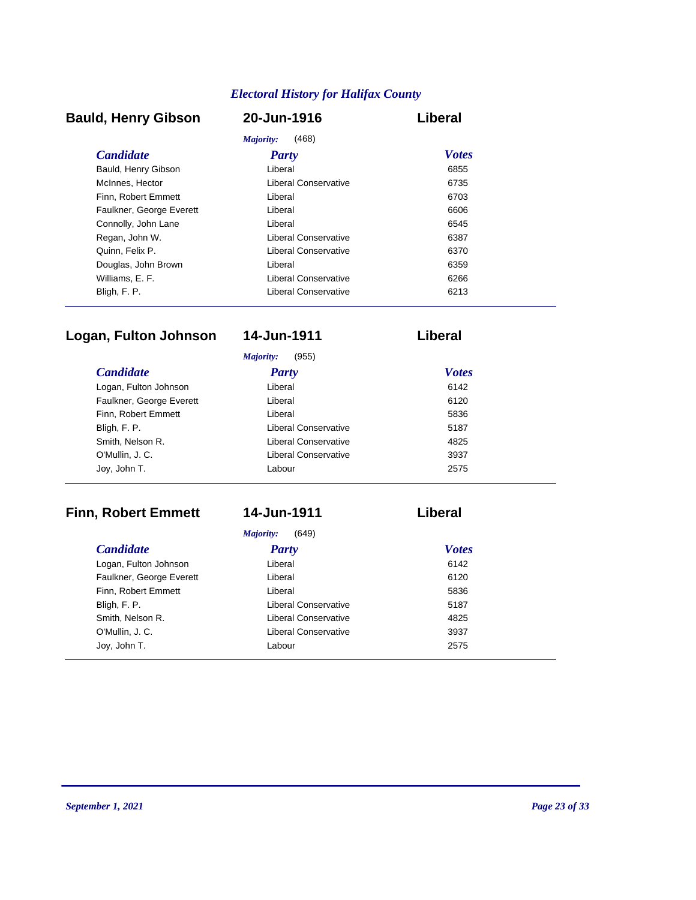# **Bauld, Henry Gibson 20-Jun-1916 Liberal**

| Majority:<br>(468)       |                      |              |  |
|--------------------------|----------------------|--------------|--|
| <i>Candidate</i>         | Party                | <b>Votes</b> |  |
| Bauld, Henry Gibson      | Liberal              | 6855         |  |
| McInnes, Hector          | Liberal Conservative | 6735         |  |
| Finn, Robert Emmett      | Liberal              | 6703         |  |
| Faulkner, George Everett | Liberal              | 6606         |  |
| Connolly, John Lane      | Liberal              | 6545         |  |
| Regan, John W.           | Liberal Conservative | 6387         |  |
| Quinn, Felix P.          | Liberal Conservative | 6370         |  |
| Douglas, John Brown      | Liberal              | 6359         |  |
| Williams, E. F.          | Liberal Conservative | 6266         |  |
| Bligh, F. P.             | Liberal Conservative | 6213         |  |

# **Logan, Fulton Johnson 14-Jun-1911 Liberal**

|                          | (955)<br>Majority:          |              |
|--------------------------|-----------------------------|--------------|
| <b>Candidate</b>         | <b>Party</b>                | <b>Votes</b> |
| Logan, Fulton Johnson    | Liberal                     | 6142         |
| Faulkner, George Everett | Liberal                     | 6120         |
| Finn, Robert Emmett      | Liberal                     | 5836         |
| Bligh, F. P.             | Liberal Conservative        | 5187         |
| Smith, Nelson R.         | Liberal Conservative        | 4825         |
| O'Mullin, J. C.          | <b>Liberal Conservative</b> | 3937         |
| Joy, John T.             | Labour                      | 2575         |

# **Finn, Robert Emmett 14-Jun-1911 Liberal**

*Majority:* (649)

| <b>Candidate</b>         | <b>Party</b>                | <b>Votes</b> |
|--------------------------|-----------------------------|--------------|
| Logan, Fulton Johnson    | Liberal                     | 6142         |
| Faulkner, George Everett | Liberal                     | 6120         |
| Finn, Robert Emmett      | Liberal                     | 5836         |
| Bligh, F. P.             | Liberal Conservative        | 5187         |
| Smith, Nelson R.         | <b>Liberal Conservative</b> | 4825         |
| O'Mullin, J. C.          | Liberal Conservative        | 3937         |
| Joy, John T.             | Labour                      | 2575         |
|                          |                             |              |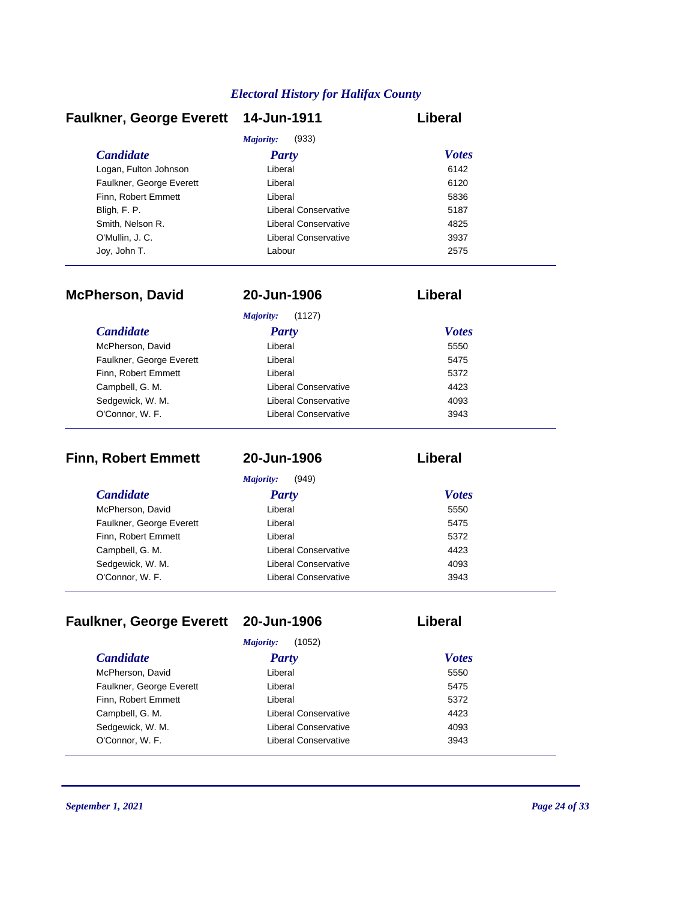|                      | Liberal                              |
|----------------------|--------------------------------------|
| (933)<br>Majority:   |                                      |
| <b>Party</b>         | <b>Votes</b>                         |
| Liberal              | 6142                                 |
| Liberal              | 6120                                 |
| Liberal              | 5836                                 |
| Liberal Conservative | 5187                                 |
| Liberal Conservative | 4825                                 |
| Liberal Conservative | 3937                                 |
| Labour               | 2575                                 |
|                      | Faulkner, George Everett 14-Jun-1911 |

| <b>McPherson, David</b>  | 20-Jun-1906          | Liberal      |  |
|--------------------------|----------------------|--------------|--|
|                          | Majority:<br>(1127)  |              |  |
| <i>Candidate</i>         | Party                | <b>Votes</b> |  |
| McPherson, David         | Liberal              | 5550         |  |
| Faulkner, George Everett | Liberal              | 5475         |  |
| Finn, Robert Emmett      | Liberal              | 5372         |  |
| Campbell, G. M.          | Liberal Conservative | 4423         |  |
| Sedgewick, W. M.         | Liberal Conservative | 4093         |  |
| O'Connor, W. F.          | Liberal Conservative | 3943         |  |

| <b>Finn, Robert Emmett</b> | 20-Jun-1906          | Liberal      |  |
|----------------------------|----------------------|--------------|--|
|                            | Majority:<br>(949)   |              |  |
| <i>Candidate</i>           | <b>Party</b>         | <b>Votes</b> |  |
| McPherson, David           | Liberal              | 5550         |  |
| Faulkner, George Everett   | Liberal              | 5475         |  |
| Finn, Robert Emmett        | Liberal              | 5372         |  |
| Campbell, G. M.            | Liberal Conservative | 4423         |  |
| Sedgewick, W. M.           | Liberal Conservative | 4093         |  |
| O'Connor, W. F.            | Liberal Conservative | 3943         |  |

# **Faulkner, George Everett 20-Jun-1906 Liberal**

|                          | (1052)<br>Majority:  |              |
|--------------------------|----------------------|--------------|
| <b>Candidate</b>         | <b>Party</b>         | <b>Votes</b> |
| McPherson, David         | Liberal              | 5550         |
| Faulkner, George Everett | Liberal              | 5475         |
| Finn, Robert Emmett      | Liberal              | 5372         |
| Campbell, G. M.          | Liberal Conservative | 4423         |
| Sedgewick, W. M.         | Liberal Conservative | 4093         |
| O'Connor, W. F.          | Liberal Conservative | 3943         |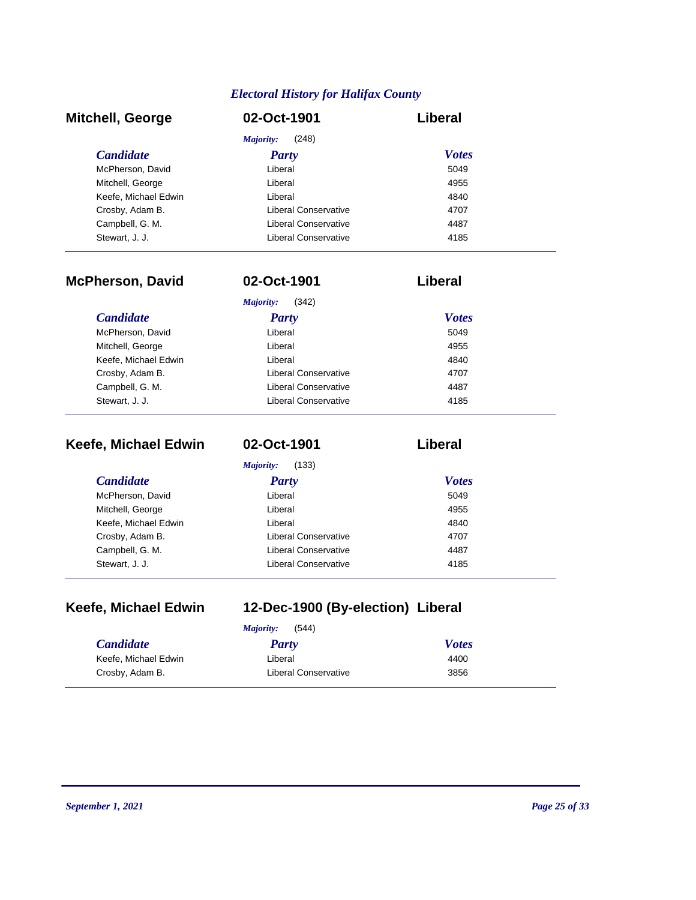| <b>Mitchell, George</b> | 02-Oct-1901          | Liberal      |
|-------------------------|----------------------|--------------|
|                         | (248)<br>Majority:   |              |
| <b>Candidate</b>        | <b>Party</b>         | <b>Votes</b> |
| McPherson, David        | Liberal              | 5049         |
| Mitchell, George        | Liberal              | 4955         |
| Keefe, Michael Edwin    | Liberal              | 4840         |
| Crosby, Adam B.         | Liberal Conservative | 4707         |
| Campbell, G. M.         | Liberal Conservative | 4487         |
| Stewart, J. J.          | Liberal Conservative | 4185         |

| <b>McPherson, David</b> | 02-Oct-1901          | Liberal      |
|-------------------------|----------------------|--------------|
|                         | Majority:<br>(342)   |              |
| <b>Candidate</b>        | Party                | <b>Votes</b> |
| McPherson, David        | Liberal              | 5049         |
| Mitchell, George        | Liberal              | 4955         |
| Keefe, Michael Edwin    | Liberal              | 4840         |
| Crosby, Adam B.         | Liberal Conservative | 4707         |
| Campbell, G. M.         | Liberal Conservative | 4487         |
| Stewart, J. J.          | Liberal Conservative | 4185         |

| Keefe, Michael Edwin | 02-Oct-1901          | Liberal      |
|----------------------|----------------------|--------------|
|                      | Majority:<br>(133)   |              |
| <i>Candidate</i>     | <b>Party</b>         | <b>Votes</b> |
| McPherson, David     | Liberal              | 5049         |
| Mitchell, George     | Liberal              | 4955         |
| Keefe, Michael Edwin | Liberal              | 4840         |
| Crosby, Adam B.      | Liberal Conservative | 4707         |
| Campbell, G. M.      | Liberal Conservative | 4487         |
| Stewart, J. J.       | Liberal Conservative | 4185         |

|  | Keefe, Michael Edwin |  |
|--|----------------------|--|
|--|----------------------|--|

# **Keefe, Michael Edwin 12-Dec-1900 (By-election) Liberal**

| (544)<br>Majority:   |                      |              |
|----------------------|----------------------|--------------|
| <i>Candidate</i>     | Party                | <b>Votes</b> |
| Keefe, Michael Edwin | Liberal              | 4400         |
| Crosby, Adam B.      | Liberal Conservative | 3856         |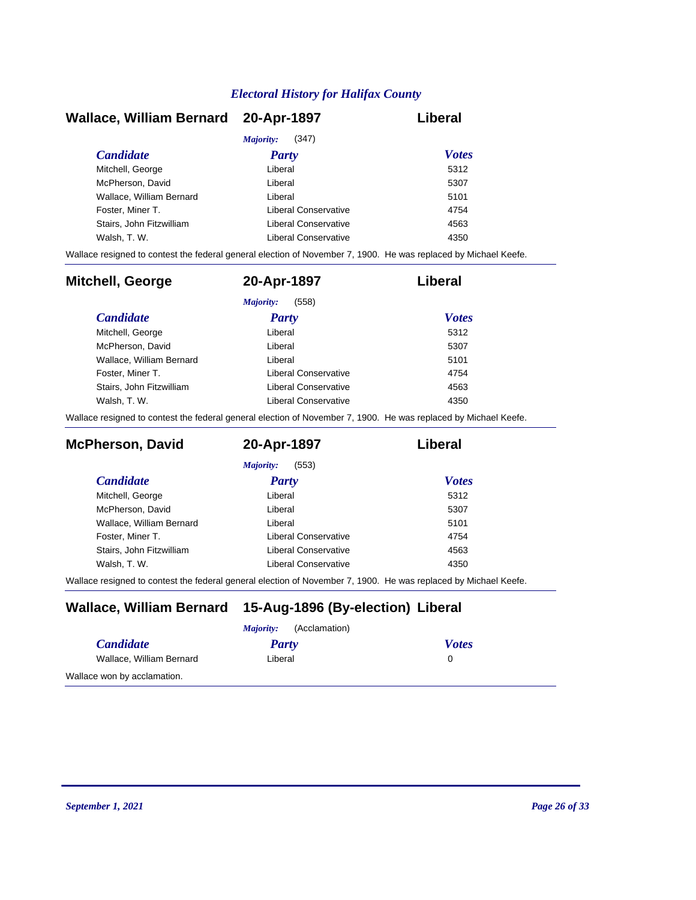| Wallace, William Bernard 20-Apr-1897 |                      | Liberal      |
|--------------------------------------|----------------------|--------------|
|                                      | (347)<br>Majority:   |              |
| <b>Candidate</b>                     | Party                | <b>Votes</b> |
| Mitchell, George                     | Liberal              | 5312         |
| McPherson, David                     | Liberal              | 5307         |
| Wallace, William Bernard             | Liberal              | 5101         |
| Foster, Miner T.                     | Liberal Conservative | 4754         |
| Stairs. John Fitzwilliam             | Liberal Conservative | 4563         |
| Walsh, T. W.                         | Liberal Conservative | 4350         |

Wallace resigned to contest the federal general election of November 7, 1900. He was replaced by Michael Keefe.

| Mitchell, George         | 20-Apr-1897          | Liberal      |
|--------------------------|----------------------|--------------|
|                          | (558)<br>Majority:   |              |
| <i>Candidate</i>         | Party                | <b>Votes</b> |
| Mitchell, George         | Liberal              | 5312         |
| McPherson, David         | Liberal              | 5307         |
| Wallace, William Bernard | Liberal              | 5101         |
| Foster, Miner T.         | Liberal Conservative | 4754         |
| Stairs, John Fitzwilliam | Liberal Conservative | 4563         |
| Walsh, T. W.             | Liberal Conservative | 4350         |

Wallace resigned to contest the federal general election of November 7, 1900. He was replaced by Michael Keefe.

| <b>McPherson, David</b>  | 20-Apr-1897          | Liberal      |
|--------------------------|----------------------|--------------|
|                          | (553)<br>Majority:   |              |
| <i>Candidate</i>         | Party                | <b>Votes</b> |
| Mitchell, George         | Liberal              | 5312         |
| McPherson, David         | Liberal              | 5307         |
| Wallace, William Bernard | Liberal              | 5101         |
| Foster, Miner T.         | Liberal Conservative | 4754         |
| Stairs, John Fitzwilliam | Liberal Conservative | 4563         |
| Walsh, T. W.             | Liberal Conservative | 4350         |

Wallace resigned to contest the federal general election of November 7, 1900. He was replaced by Michael Keefe.

# **Wallace, William Bernard 15-Aug-1896 (By-election) Liberal**

| (Acclamation)<br>Majority:  |         |              |
|-----------------------------|---------|--------------|
| <b>Candidate</b>            | Party   | <b>Votes</b> |
| Wallace, William Bernard    | Liberal |              |
| Wallace won by acclamation. |         |              |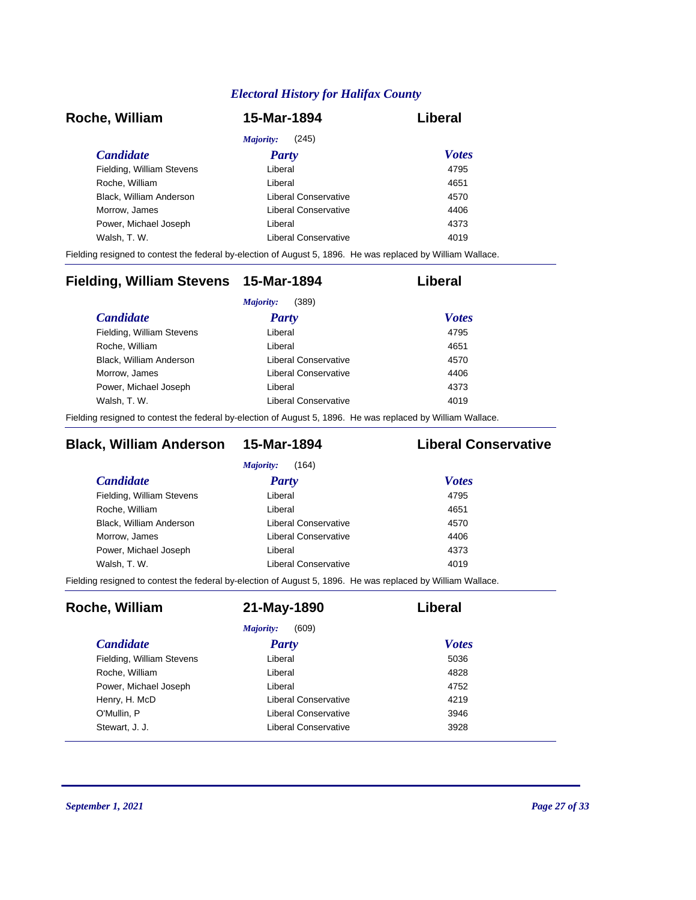| Roche, William            | 15-Mar-1894          | Liberal      |
|---------------------------|----------------------|--------------|
|                           | (245)<br>Majority:   |              |
| <i>Candidate</i>          | <b>Party</b>         | <b>Votes</b> |
| Fielding, William Stevens | Liberal              | 4795         |
| Roche, William            | Liberal              | 4651         |
| Black, William Anderson   | Liberal Conservative | 4570         |
| Morrow, James             | Liberal Conservative | 4406         |
| Power, Michael Joseph     | Liberal              | 4373         |
| Walsh, T. W.              | Liberal Conservative | 4019         |

Fielding resigned to contest the federal by-election of August 5, 1896. He was replaced by William Wallace.

| Fielding, William Stevens 15-Mar-1894 |                      | Liberal      |
|---------------------------------------|----------------------|--------------|
|                                       | (389)<br>Majority:   |              |
| <i>Candidate</i>                      | <b>Party</b>         | <b>Votes</b> |
| Fielding, William Stevens             | Liberal              | 4795         |
| Roche, William                        | Liberal              | 4651         |
| Black, William Anderson               | Liberal Conservative | 4570         |
| Morrow, James                         | Liberal Conservative | 4406         |
| Power, Michael Joseph                 | Liberal              | 4373         |
| Walsh, T. W.                          | Liberal Conservative | 4019         |
|                                       |                      |              |

Fielding resigned to contest the federal by-election of August 5, 1896. He was replaced by William Wallace.

# **Black, William Anderson 15-Mar-1894 Liberal Conservative**

| Liberal              | 4795 |                              |
|----------------------|------|------------------------------|
| Liberal              | 4651 |                              |
| Liberal Conservative | 4570 |                              |
| Liberal Conservative | 4406 |                              |
| Liberal              | 4373 |                              |
| Liberal Conservative | 4019 |                              |
|                      |      | <b>Votes</b><br><b>Party</b> |

Fielding resigned to contest the federal by-election of August 5, 1896. He was replaced by William Wallace.

| Roche, William            | 21-May-1890          | Liberal      |
|---------------------------|----------------------|--------------|
|                           | (609)<br>Majority:   |              |
| <i>Candidate</i>          | <b>Party</b>         | <b>Votes</b> |
| Fielding, William Stevens | Liberal              | 5036         |
| Roche, William            | Liberal              | 4828         |
| Power, Michael Joseph     | Liberal              | 4752         |
| Henry, H. McD             | Liberal Conservative | 4219         |
| O'Mullin, P               | Liberal Conservative | 3946         |
| Stewart, J. J.            | Liberal Conservative | 3928         |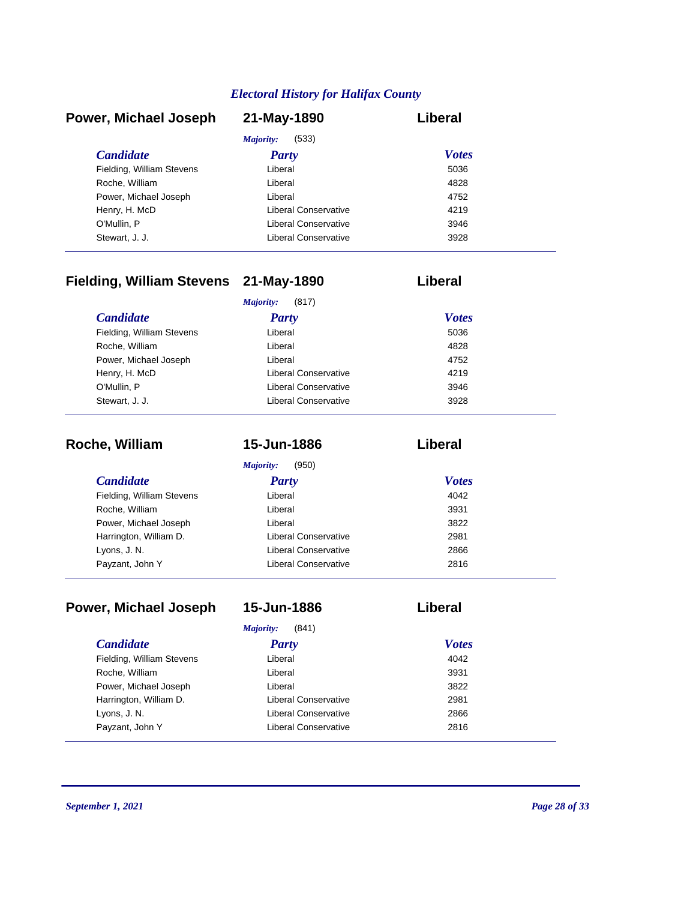| Power, Michael Joseph     | 21-May-1890          | Liberal      |
|---------------------------|----------------------|--------------|
|                           | (533)<br>Majority:   |              |
| <b>Candidate</b>          | <b>Party</b>         | <b>Votes</b> |
| Fielding, William Stevens | Liberal              | 5036         |
| Roche, William            | Liberal              | 4828         |
| Power, Michael Joseph     | Liberal              | 4752         |
| Henry, H. McD             | Liberal Conservative | 4219         |
| O'Mullin, P               | Liberal Conservative | 3946         |
| Stewart, J. J.            | Liberal Conservative | 3928         |

# **Fielding, William Stevens 21-May-1890 Liberal**

| (817)<br>Majority:        |                      |              |
|---------------------------|----------------------|--------------|
| <b>Candidate</b>          | <b>Party</b>         | <b>Votes</b> |
| Fielding, William Stevens | Liberal              | 5036         |
| Roche, William            | Liberal              | 4828         |
| Power, Michael Joseph     | Liberal              | 4752         |
| Henry, H. McD             | Liberal Conservative | 4219         |
| O'Mullin, P               | Liberal Conservative | 3946         |
| Stewart, J. J.            | Liberal Conservative | 3928         |

| Roche, William            | 15-Jun-1886          | Liberal      |  |
|---------------------------|----------------------|--------------|--|
|                           | Majority:<br>(950)   |              |  |
| <b>Candidate</b>          | <b>Party</b>         | <b>Votes</b> |  |
| Fielding, William Stevens | Liberal              | 4042         |  |
| Roche, William            | Liberal              | 3931         |  |
| Power, Michael Joseph     | Liberal              | 3822         |  |
| Harrington, William D.    | Liberal Conservative | 2981         |  |
| Lyons, J. N.              | Liberal Conservative | 2866         |  |
| Payzant, John Y           | Liberal Conservative | 2816         |  |

| Power, Michael Joseph     | 15-Jun-1886                 | Liberal      |
|---------------------------|-----------------------------|--------------|
|                           | Majority:<br>(841)          |              |
| <i>Candidate</i>          | Party                       | <b>Votes</b> |
| Fielding, William Stevens | Liberal                     | 4042         |
| Roche, William            | Liberal                     | 3931         |
| Power, Michael Joseph     | Liberal                     | 3822         |
| Harrington, William D.    | Liberal Conservative        | 2981         |
| Lyons, J. N.              | <b>Liberal Conservative</b> | 2866         |
| Payzant, John Y           | Liberal Conservative        | 2816         |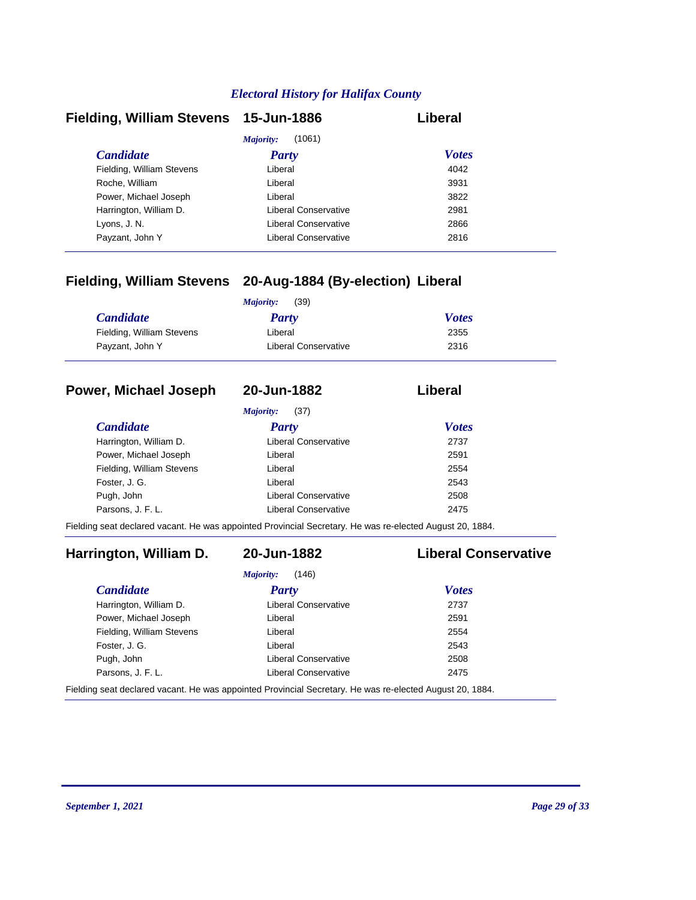| Fielding, William Stevens 15-Jun-1886 |                      | Liberal      |
|---------------------------------------|----------------------|--------------|
|                                       | (1061)<br>Majority:  |              |
| <b>Candidate</b>                      | <b>Party</b>         | <b>Votes</b> |
| Fielding, William Stevens             | Liberal              | 4042         |
| Roche, William                        | Liberal              | 3931         |
| Power, Michael Joseph                 | Liberal              | 3822         |
| Harrington, William D.                | Liberal Conservative | 2981         |
| Lyons, J. N.                          | Liberal Conservative | 2866         |
| Payzant, John Y                       | Liberal Conservative | 2816         |

# **Fielding, William Stevens 20-Aug-1884 (By-election) Liberal**

|                           | (39)<br>Majority:    |              |
|---------------------------|----------------------|--------------|
| <b>Candidate</b>          | Party                | <b>Votes</b> |
| Fielding, William Stevens | Liberal              | 2355         |
| Payzant, John Y           | Liberal Conservative | 2316         |

# **Power, Michael Joseph 20-Jun-1882 Liberal**

*Majority:* (37)

| <i>Candidate</i>          | Party                | <b>Votes</b> |
|---------------------------|----------------------|--------------|
| Harrington, William D.    | Liberal Conservative | 2737         |
| Power, Michael Joseph     | Liberal              | 2591         |
| Fielding, William Stevens | Liberal              | 2554         |
| Foster, J. G.             | Liberal              | 2543         |
| Pugh, John                | Liberal Conservative | 2508         |
| Parsons, J. F. L.         | Liberal Conservative | 2475         |

Fielding seat declared vacant. He was appointed Provincial Secretary. He was re-elected August 20, 1884.

# **Harrington, William D. 20-Jun-1882 Liberal Conservative**

| (146)<br>Majority:                                                                                       |                             |              |
|----------------------------------------------------------------------------------------------------------|-----------------------------|--------------|
| <i>Candidate</i>                                                                                         | <b>Party</b>                | <b>Votes</b> |
| Harrington, William D.                                                                                   | Liberal Conservative        | 2737         |
| Power, Michael Joseph                                                                                    | Liberal                     | 2591         |
| Fielding, William Stevens                                                                                | Liberal                     | 2554         |
| Foster, J. G.                                                                                            | Liberal                     | 2543         |
| Pugh, John                                                                                               | Liberal Conservative        | 2508         |
| Parsons, J. F. L.                                                                                        | <b>Liberal Conservative</b> | 2475         |
| Fielding seat declared vacant. He was appointed Provincial Secretary. He was re-elected August 20, 1884. |                             |              |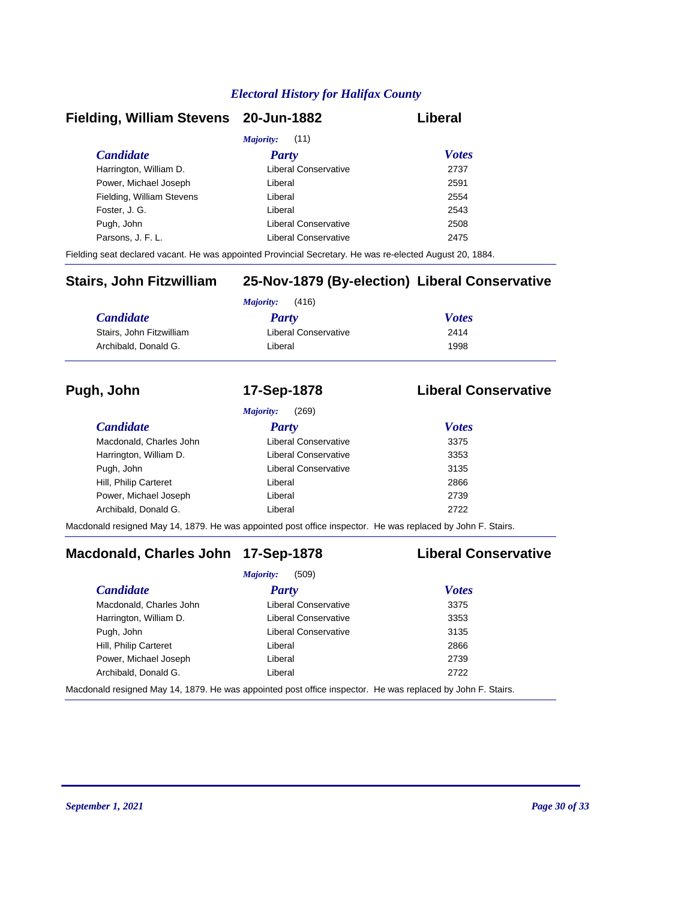## **Fielding, William Stevens 20-Jun-1882 Liberal**

| <i>Majority:</i> (11)     |                      |              |  |
|---------------------------|----------------------|--------------|--|
| <b>Candidate</b>          | <b>Party</b>         | <b>Votes</b> |  |
| Harrington, William D.    | Liberal Conservative | 2737         |  |
| Power, Michael Joseph     | Liberal              | 2591         |  |
| Fielding, William Stevens | Liberal              | 2554         |  |
| Foster, J. G.             | Liberal              | 2543         |  |
| Pugh, John                | Liberal Conservative | 2508         |  |
| Parsons, J. F. L.         | Liberal Conservative | 2475         |  |
|                           |                      |              |  |

Fielding seat declared vacant. He was appointed Provincial Secretary. He was re-elected August 20, 1884.

# **Stairs, John Fitzwilliam 25-Nov-1879 (By-election) Liberal Conservative**

| (416)<br>Maiority:       |                      |              |
|--------------------------|----------------------|--------------|
| <b>Candidate</b>         | <b>Party</b>         | <b>Votes</b> |
| Stairs, John Fitzwilliam | Liberal Conservative | 2414         |
| Archibald, Donald G.     | Liberal              | 1998         |

# **Pugh, John 17-Sep-1878 Liberal Conservative**

|                         | (269)<br><i>Majority:</i> |              |
|-------------------------|---------------------------|--------------|
| <b>Candidate</b>        | Party                     | <b>Votes</b> |
| Macdonald, Charles John | Liberal Conservative      | 3375         |
| Harrington, William D.  | Liberal Conservative      | 3353         |
| Pugh, John              | Liberal Conservative      | 3135         |
| Hill, Philip Carteret   | Liberal                   | 2866         |
| Power, Michael Joseph   | Liberal                   | 2739         |
| Archibald, Donald G.    | Liberal                   | 2722         |

Macdonald resigned May 14, 1879. He was appointed post office inspector. He was replaced by John F. Stairs.

# **Macdonald, Charles John 17-Sep-1878 Liberal Conservative**

|                         | (509)<br>Majority:                                                                                                       |              |  |
|-------------------------|--------------------------------------------------------------------------------------------------------------------------|--------------|--|
| <b>Candidate</b>        | <b>Party</b>                                                                                                             | <b>Votes</b> |  |
| Macdonald, Charles John | <b>Liberal Conservative</b>                                                                                              | 3375         |  |
| Harrington, William D.  | Liberal Conservative                                                                                                     | 3353         |  |
| Pugh, John              | <b>Liberal Conservative</b>                                                                                              | 3135         |  |
| Hill, Philip Carteret   | Liberal                                                                                                                  | 2866         |  |
| Power, Michael Joseph   | Liberal                                                                                                                  | 2739         |  |
| Archibald, Donald G.    | Liberal                                                                                                                  | 2722         |  |
|                         | المعاجزات المعاطيات الموجودات والمناصب والمستحدث ومثالية المحمد المناصر معاطر من المنافس المالية المستحدة الماضية المناط |              |  |

Macdonald resigned May 14, 1879. He was appointed post office inspector. He was replaced by John F. Stairs.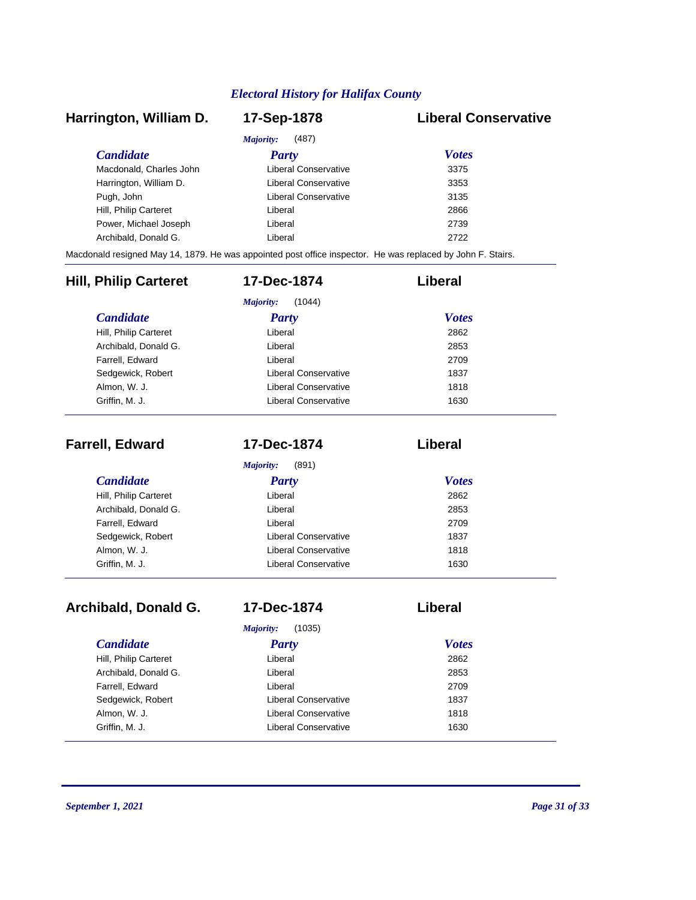# *Candidate Party Votes* **Harrington, William D. 17-Sep-1878 Liberal Conservative** *Majority:* (487) Macdonald, Charles John Liberal Conservative 3375 Harrington, William D. Ciberal Conservative 3353 Pugh, John **Disk and American Conservative** 3135 Hill, Philip Carteret **Liberal** Liberal 2866 Power, Michael Joseph Liberal Liberal 2739 Archibald, Donald G. Liberal 2722 Macdonald resigned May 14, 1879. He was appointed post office inspector. He was replaced by John F. Stairs. *Candidate Party Votes* **Hill, Philip Carteret 17-Dec-1874 Liberal** *Majority:* (1044) Hill, Philip Carteret Liberal Archibald, Donald G. Liberal 2853 Farrell, Edward 2709 Sedgewick, Robert **Liberal Conservative** 1837 Almon, W. J. Conservative Conservative 1818 Griffin, M. J. **Canadian Conservative** 1630

| <b>Farrell, Edward</b> | 17-Dec-1874          | Liberal      |
|------------------------|----------------------|--------------|
|                        | Majority:<br>(891)   |              |
| <b>Candidate</b>       | <b>Party</b>         | <b>Votes</b> |
| Hill, Philip Carteret  | Liberal              | 2862         |
| Archibald, Donald G.   | Liberal              | 2853         |
| Farrell, Edward        | Liberal              | 2709         |
| Sedgewick, Robert      | Liberal Conservative | 1837         |
| Almon, W. J.           | Liberal Conservative | 1818         |
| Griffin, M. J.         | Liberal Conservative | 1630         |

| Archibald, Donald G.  | 17-Dec-1874           | Liberal      |  |
|-----------------------|-----------------------|--------------|--|
|                       | Majority:<br>(1035)   |              |  |
| <i>Candidate</i>      | <b>Party</b>          | <b>Votes</b> |  |
| Hill, Philip Carteret | Liberal               | 2862         |  |
| Archibald, Donald G.  | Liberal               | 2853         |  |
| Farrell, Edward       | Liberal               | 2709         |  |
| Sedgewick, Robert     | Liberal Conservative  | 1837         |  |
| Almon, W. J.          | I iberal Conservative | 1818         |  |
| Griffin, M. J.        | Liberal Conservative  | 1630         |  |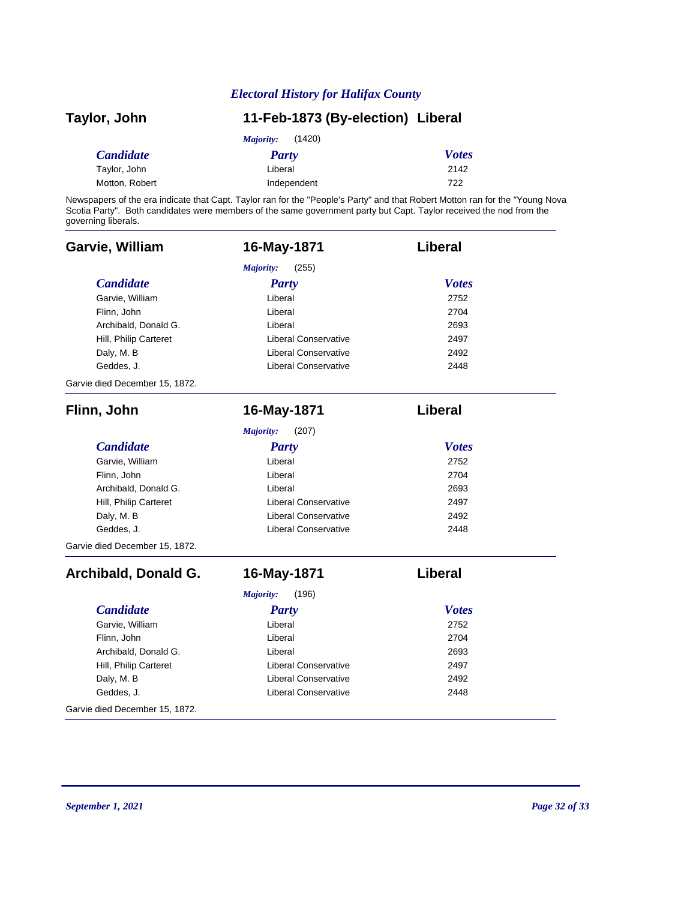| Taylor, John     | 11-Feb-1873 (By-election) Liberal |              |
|------------------|-----------------------------------|--------------|
|                  | (1420)<br>Majority:               |              |
| <b>Candidate</b> | Party                             | <b>Votes</b> |
| Taylor, John     | Liberal                           | 2142         |
| Motton, Robert   | Independent                       | 722          |

Newspapers of the era indicate that Capt. Taylor ran for the "People's Party" and that Robert Motton ran for the "Young Nova Scotia Party". Both candidates were members of the same government party but Capt. Taylor received the nod from the governing liberals.

| Garvie, William                | 16-May-1871                 | Liberal        |
|--------------------------------|-----------------------------|----------------|
|                                | Majority:<br>(255)          |                |
| <b>Candidate</b>               | <b>Party</b>                | <b>Votes</b>   |
| Garvie, William                | Liberal                     | 2752           |
| Flinn, John                    | Liberal                     | 2704           |
| Archibald, Donald G.           | Liberal                     | 2693           |
| Hill, Philip Carteret          | <b>Liberal Conservative</b> | 2497           |
| Daly, M. B                     | <b>Liberal Conservative</b> | 2492           |
| Geddes, J.                     | <b>Liberal Conservative</b> | 2448           |
| Garvie died December 15, 1872. |                             |                |
| Flinn, John                    | 16-May-1871                 | <b>Liberal</b> |
|                                | Majority:<br>(207)          |                |
| <b>Candidate</b>               | <b>Party</b>                | <b>Votes</b>   |
| Garvie, William                | Liberal                     | 2752           |
| Flinn, John                    | Liberal                     | 2704           |
| Archibald, Donald G.           | Liberal                     | 2693           |
| Hill, Philip Carteret          | <b>Liberal Conservative</b> | 2497           |
| Daly, M. B                     | <b>Liberal Conservative</b> | 2492           |
| Geddes, J.                     | <b>Liberal Conservative</b> | 2448           |
| Garvie died December 15, 1872. |                             |                |
| Archibald, Donald G.           | 16-May-1871                 | Liberal        |
|                                | <b>Majority:</b><br>(196)   |                |
| <b>Candidate</b>               | <b>Party</b>                | <b>Votes</b>   |
| Garvie, William                | Liberal                     | 2752           |
| Flinn, John                    | Liberal                     | 2704           |
| Archibald, Donald G.           | Liberal                     | 2693           |
| Hill, Philip Carteret          | <b>Liberal Conservative</b> | 2497           |
| Daly, M. B                     | <b>Liberal Conservative</b> | 2492           |
| Geddes, J.                     | <b>Liberal Conservative</b> | 2448           |
| Garvie died December 15, 1872. |                             |                |